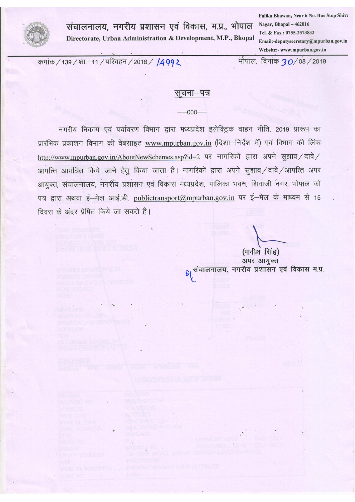

संचालनालय, नगरीय प्रशासन एवं विकास, म.प्र., भोपाल Directorate, Urban Administration & Development, M.P., Bhopal

Palika Bhawan, Near 6 No. Bus Stop Shiva Nagar, Bhopal - 462016 Tel. & Fax: 0755-2573832 Email:-deputysecretary@mpurban.gov.in Website:- www.mpurban.gov.in

क्रमांक / 139 / शा.–11 / परिवहन / 2018 / 1499 2

भौपाल, दिनांक **30/**08/2019

#### सूचना–पत्र

 $-000 -$ 

नगरीय निकाय एवं पर्यावरण विभाग द्वारा मध्यप्रदेश इलेक्ट्रिक वाहन नीति, 2019 प्रारूप का प्रारंभिक प्रकाशन विभाग की वेबसाइट www.mpurban.gov.in (दिशा-निर्देश में) एवं विभाग की लिंक http://www.mpurban.gov.in/AboutNewSchemes.asp?id=2 पर नागरिकों द्वारा अपने सुझाव/दावे/ आपत्ति आमंत्रित किये जाने हेतू किया जाता है। नागरिकों द्वारा अपने सूझाव/दावे/आपत्ति अपर आयुक्त, संचालनालय, नगरीय प्रशासन एवं विकास मध्यप्रदेश, पालिका भवन, शिवाजी नगर, भोपाल को पत्र द्वारा अथवा ई-मेल आई.डी. publictransport@mpurban.gov.in पर ई-मेल के माध्यम से 15 दिवस के अंदर प्रेषित किये जा सकते है।

(मनीष सिंह) अपर आयुक्त 01 संचालनालय, नगरीय प्रशासन एवं विकास म.प्र.

 $\label{eq:4} \frac{1}{\sqrt{2}}\left(\frac{1}{\sqrt{2}}\right)^{1/2}\left(\frac{1}{\sqrt{2}}\right)^{1/2}$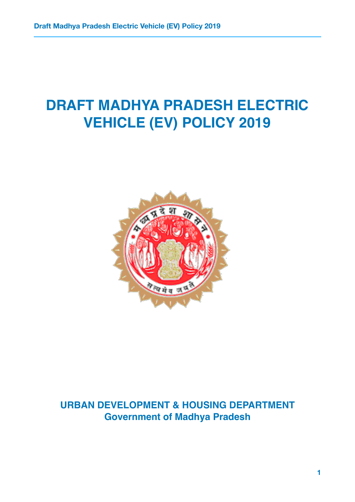# **DRAFT MADHYA PRADESH ELECTRIC VEHICLE (EV) POLICY 2019**



# **URBAN DEVELOPMENT & HOUSING DEPARTMENT Government of Madhya Pradesh**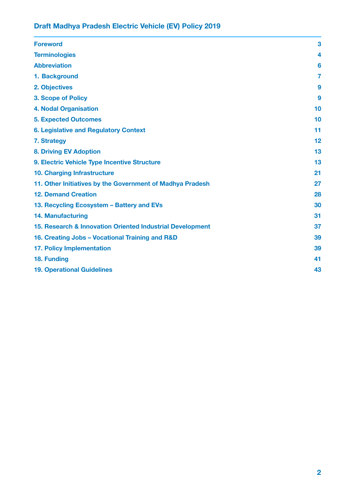| <b>Foreword</b>                                           | 3              |
|-----------------------------------------------------------|----------------|
| <b>Terminologies</b>                                      | 4              |
| <b>Abbreviation</b>                                       | 6              |
| 1. Background                                             | $\overline{7}$ |
| 2. Objectives                                             | 9              |
| <b>3. Scope of Policy</b>                                 | 9              |
| <b>4. Nodal Organisation</b>                              | 10             |
| <b>5. Expected Outcomes</b>                               | 10             |
| <b>6. Legislative and Regulatory Context</b>              | 11             |
| 7. Strategy                                               | 12             |
| <b>8. Driving EV Adoption</b>                             | 13             |
| 9. Electric Vehicle Type Incentive Structure              | 13             |
| 10. Charging Infrastructure                               | 21             |
| 11. Other Initiatives by the Government of Madhya Pradesh | 27             |
| <b>12. Demand Creation</b>                                | 28             |
| 13. Recycling Ecosystem - Battery and EVs                 | 30             |
| <b>14. Manufacturing</b>                                  | 31             |
| 15. Research & Innovation Oriented Industrial Development | 37             |
| 16. Creating Jobs - Vocational Training and R&D           | 39             |
| <b>17. Policy Implementation</b>                          | 39             |
| 18. Funding                                               | 41             |
| <b>19. Operational Guidelines</b>                         | 43             |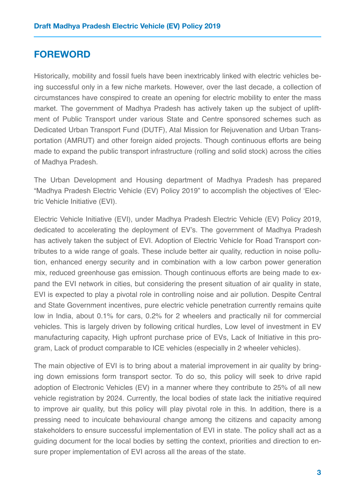### <span id="page-3-0"></span>**FOREWORD**

Historically, mobility and fossil fuels have been inextricably linked with electric vehicles being successful only in a few niche markets. However, over the last decade, a collection of circumstances have conspired to create an opening for electric mobility to enter the mass market. The government of Madhya Pradesh has actively taken up the subject of upliftment of Public Transport under various State and Centre sponsored schemes such as Dedicated Urban Transport Fund (DUTF), Atal Mission for Rejuvenation and Urban Transportation (AMRUT) and other foreign aided projects. Though continuous efforts are being made to expand the public transport infrastructure (rolling and solid stock) across the cities of Madhya Pradesh.

The Urban Development and Housing department of Madhya Pradesh has prepared "Madhya Pradesh Electric Vehicle (EV) Policy 2019" to accomplish the objectives of 'Electric Vehicle Initiative (EVI).

Electric Vehicle Initiative (EVI), under Madhya Pradesh Electric Vehicle (EV) Policy 2019, dedicated to accelerating the deployment of EV's. The government of Madhya Pradesh has actively taken the subject of EVI. Adoption of Electric Vehicle for Road Transport contributes to a wide range of goals. These include better air quality, reduction in noise pollution, enhanced energy security and in combination with a low carbon power generation mix, reduced greenhouse gas emission. Though continuous efforts are being made to expand the EVI network in cities, but considering the present situation of air quality in state, EVI is expected to play a pivotal role in controlling noise and air pollution. Despite Central and State Government incentives, pure electric vehicle penetration currently remains quite low in India, about 0.1% for cars, 0.2% for 2 wheelers and practically nil for commercial vehicles. This is largely driven by following critical hurdles, Low level of investment in EV manufacturing capacity, High upfront purchase price of EVs, Lack of Initiative in this program, Lack of product comparable to ICE vehicles (especially in 2 wheeler vehicles).

The main objective of EVI is to bring about a material improvement in air quality by bringing down emissions form transport sector. To do so, this policy will seek to drive rapid adoption of Electronic Vehicles (EV) in a manner where they contribute to 25% of all new vehicle registration by 2024. Currently, the local bodies of state lack the initiative required to improve air quality, but this policy will play pivotal role in this. In addition, there is a pressing need to inculcate behavioural change among the citizens and capacity among stakeholders to ensure successful implementation of EVI in state. The policy shall act as a guiding document for the local bodies by setting the context, priorities and direction to ensure proper implementation of EVI across all the areas of the state.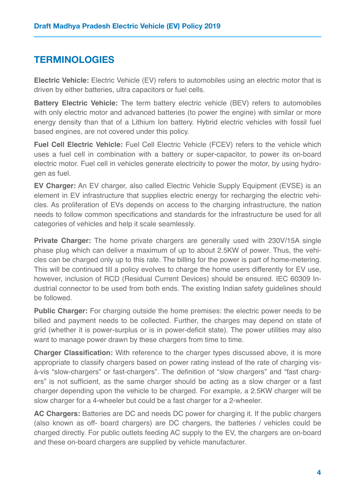# <span id="page-4-0"></span>**TERMINOLOGIES**

**Electric Vehicle:** Electric Vehicle (EV) refers to automobiles using an electric motor that is driven by either batteries, ultra capacitors or fuel cells.

**Battery Electric Vehicle:** The term battery electric vehicle (BEV) refers to automobiles with only electric motor and advanced batteries (to power the engine) with similar or more energy density than that of a Lithium Ion battery. Hybrid electric vehicles with fossil fuel based engines, are not covered under this policy.

**Fuel Cell Electric Vehicle:** Fuel Cell Electric Vehicle (FCEV) refers to the vehicle which uses a fuel cell in combination with a battery or super-capacitor, to power its on-board electric motor. Fuel cell in vehicles generate electricity to power the motor, by using hydrogen as fuel.

**EV Charger:** An EV charger, also called Electric Vehicle Supply Equipment (EVSE) is an element in EV infrastructure that supplies electric energy for recharging the electric vehicles. As proliferation of EVs depends on access to the charging infrastructure, the nation needs to follow common specifications and standards for the infrastructure be used for all categories of vehicles and help it scale seamlessly.

**Private Charger:** The home private chargers are generally used with 230V/15A single phase plug which can deliver a maximum of up to about 2.5KW of power. Thus, the vehicles can be charged only up to this rate. The billing for the power is part of home-metering. This will be continued till a policy evolves to charge the home users differently for EV use, however, inclusion of RCD (Residual Current Devices) should be ensured. IEC 60309 Industrial connector to be used from both ends. The existing Indian safety guidelines should be followed.

**Public Charger:** For charging outside the home premises: the electric power needs to be billed and payment needs to be collected. Further, the charges may depend on state of grid (whether it is power-surplus or is in power-deficit state). The power utilities may also want to manage power drawn by these chargers from time to time.

**Charger Classification:** With reference to the charger types discussed above, it is more appropriate to classify chargers based on power rating instead of the rate of charging visà-vis "slow-chargers" or fast-chargers". The definition of "slow chargers" and "fast chargers" is not sufficient, as the same charger should be acting as a slow charger or a fast charger depending upon the vehicle to be charged. For example, a 2.5KW charger will be slow charger for a 4-wheeler but could be a fast charger for a 2-wheeler.

**AC Chargers:** Batteries are DC and needs DC power for charging it. If the public chargers (also known as off- board chargers) are DC chargers, the batteries / vehicles could be charged directly. For public outlets feeding AC supply to the EV, the chargers are on-board and these on-board chargers are supplied by vehicle manufacturer.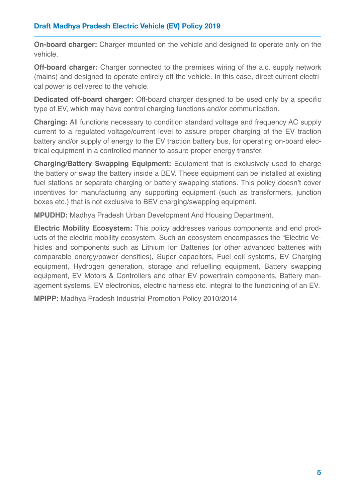**On-board charger:** Charger mounted on the vehicle and designed to operate only on the vehicle.

**Off-board charger:** Charger connected to the premises wiring of the a.c. supply network (mains) and designed to operate entirely off the vehicle. In this case, direct current electrical power is delivered to the vehicle.

**Dedicated off-board charger:** Off-board charger designed to be used only by a specific type of EV, which may have control charging functions and/or communication.

**Charging:** All functions necessary to condition standard voltage and frequency AC supply current to a regulated voltage/current level to assure proper charging of the EV traction battery and/or supply of energy to the EV traction battery bus, for operating on-board electrical equipment in a controlled manner to assure proper energy transfer.

**Charging/Battery Swapping Equipment:** Equipment that is exclusively used to charge the battery or swap the battery inside a BEV. These equipment can be installed at existing fuel stations or separate charging or battery swapping stations. This policy doesn't cover incentives for manufacturing any supporting equipment (such as transformers, junction boxes etc.) that is not exclusive to BEV charging/swapping equipment.

**MPUDHD:** Madhya Pradesh Urban Development And Housing Department.

**Electric Mobility Ecosystem:** This policy addresses various components and end products of the electric mobility ecosystem. Such an ecosystem encompasses the "Electric Vehicles and components such as Lithium Ion Batteries (or other advanced batteries with comparable energy/power densities), Super capacitors, Fuel cell systems, EV Charging equipment, Hydrogen generation, storage and refuelling equipment, Battery swapping equipment, EV Motors & Controllers and other EV powertrain components, Battery management systems, EV electronics, electric harness etc. integral to the functioning of an EV.

**MPIPP:** Madhya Pradesh Industrial Promotion Policy 2010/2014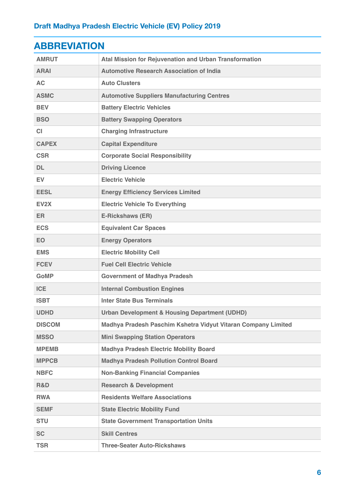<span id="page-6-0"></span>

| <b>ABBREVIAHON</b> |                                                               |  |  |  |
|--------------------|---------------------------------------------------------------|--|--|--|
| <b>AMRUT</b>       | Atal Mission for Rejuvenation and Urban Transformation        |  |  |  |
| <b>ARAI</b>        | <b>Automotive Research Association of India</b>               |  |  |  |
| <b>AC</b>          | <b>Auto Clusters</b>                                          |  |  |  |
| <b>ASMC</b>        | <b>Automotive Suppliers Manufacturing Centres</b>             |  |  |  |
| <b>BEV</b>         | <b>Battery Electric Vehicles</b>                              |  |  |  |
| <b>BSO</b>         | <b>Battery Swapping Operators</b>                             |  |  |  |
| <b>CI</b>          | <b>Charging Infrastructure</b>                                |  |  |  |
| <b>CAPEX</b>       | <b>Capital Expenditure</b>                                    |  |  |  |
| <b>CSR</b>         | <b>Corporate Social Responsibility</b>                        |  |  |  |
| <b>DL</b>          | <b>Driving Licence</b>                                        |  |  |  |
| <b>EV</b>          | <b>Electric Vehicle</b>                                       |  |  |  |
| <b>EESL</b>        | <b>Energy Efficiency Services Limited</b>                     |  |  |  |
| EV <sub>2</sub> X  | <b>Electric Vehicle To Everything</b>                         |  |  |  |
| ER.                | <b>E-Rickshaws (ER)</b>                                       |  |  |  |
| <b>ECS</b>         | <b>Equivalent Car Spaces</b>                                  |  |  |  |
| <b>EO</b>          | <b>Energy Operators</b>                                       |  |  |  |
| <b>EMS</b>         | <b>Electric Mobility Cell</b>                                 |  |  |  |
| <b>FCEV</b>        | <b>Fuel Cell Electric Vehicle</b>                             |  |  |  |
| <b>GoMP</b>        | <b>Government of Madhya Pradesh</b>                           |  |  |  |
| <b>ICE</b>         | <b>Internal Combustion Engines</b>                            |  |  |  |
| <b>ISBT</b>        | <b>Inter State Bus Terminals</b>                              |  |  |  |
| <b>UDHD</b>        | <b>Urban Development &amp; Housing Department (UDHD)</b>      |  |  |  |
| <b>DISCOM</b>      | Madhya Pradesh Paschim Kshetra Vidyut Vitaran Company Limited |  |  |  |
| <b>MSSO</b>        | <b>Mini Swapping Station Operators</b>                        |  |  |  |
| <b>MPEMB</b>       | <b>Madhya Pradesh Electric Mobility Board</b>                 |  |  |  |
| <b>MPPCB</b>       | <b>Madhya Pradesh Pollution Control Board</b>                 |  |  |  |
| <b>NBFC</b>        | <b>Non-Banking Financial Companies</b>                        |  |  |  |
| R&D                | <b>Research &amp; Development</b>                             |  |  |  |
| <b>RWA</b>         | <b>Residents Welfare Associations</b>                         |  |  |  |
| <b>SEMF</b>        | <b>State Electric Mobility Fund</b>                           |  |  |  |
| <b>STU</b>         | <b>State Government Transportation Units</b>                  |  |  |  |
| <b>SC</b>          | <b>Skill Centres</b>                                          |  |  |  |
| <b>TSR</b>         | <b>Three-Seater Auto-Rickshaws</b>                            |  |  |  |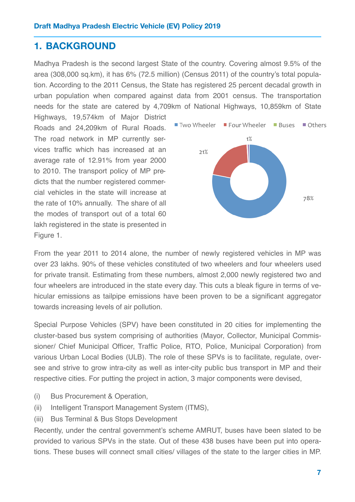### <span id="page-7-0"></span>**1. BACKGROUND**

Madhya Pradesh is the second largest State of the country. Covering almost 9.5% of the area (308,000 sq.km), it has 6% (72.5 million) (Census 2011) of the country's total population. According to the 2011 Census, the State has registered 25 percent decadal growth in urban population when compared against data from 2001 census. The transportation needs for the state are catered by 4,709km of National Highways, 10,859km of State

Highways, 19,574km of Major District Roads and 24,209km of Rural Roads. The road network in MP currently services traffic which has increased at an average rate of 12.91% from year 2000 to 2010. The transport policy of MP predicts that the number registered commercial vehicles in the state will increase at the rate of 10% annually. The share of all the modes of transport out of a total 60 lakh registered in the state is presented in Figure 1.



From the year 2011 to 2014 alone, the number of newly registered vehicles in MP was over 23 lakhs. 90% of these vehicles constituted of two wheelers and four wheelers used for private transit. Estimating from these numbers, almost 2,000 newly registered two and four wheelers are introduced in the state every day. This cuts a bleak figure in terms of vehicular emissions as tailpipe emissions have been proven to be a significant aggregator towards increasing levels of air pollution.

Special Purpose Vehicles (SPV) have been constituted in 20 cities for implementing the cluster-based bus system comprising of authorities (Mayor, Collector, Municipal Commissioner/ Chief Municipal Officer, Traffic Police, RTO, Police, Municipal Corporation) from various Urban Local Bodies (ULB). The role of these SPVs is to facilitate, regulate, oversee and strive to grow intra-city as well as inter-city public bus transport in MP and their respective cities. For putting the project in action, 3 major components were devised,

- (i) Bus Procurement & Operation,
- (ii) Intelligent Transport Management System (ITMS),
- (iii) Bus Terminal & Bus Stops Development

Recently, under the central government's scheme AMRUT, buses have been slated to be provided to various SPVs in the state. Out of these 438 buses have been put into operations. These buses will connect small cities/ villages of the state to the larger cities in MP.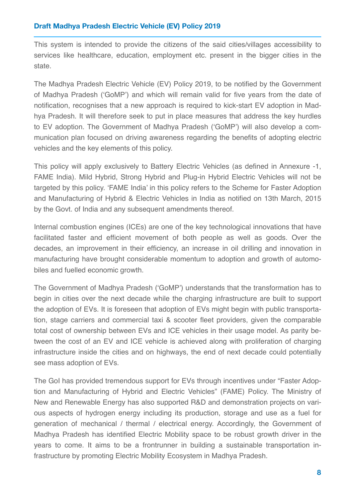This system is intended to provide the citizens of the said cities/villages accessibility to services like healthcare, education, employment etc. present in the bigger cities in the state.

The Madhya Pradesh Electric Vehicle (EV) Policy 2019, to be notified by the Government of Madhya Pradesh ('GoMP') and which will remain valid for five years from the date of notification, recognises that a new approach is required to kick-start EV adoption in Madhya Pradesh. It will therefore seek to put in place measures that address the key hurdles to EV adoption. The Government of Madhya Pradesh ('GoMP') will also develop a communication plan focused on driving awareness regarding the benefits of adopting electric vehicles and the key elements of this policy.

This policy will apply exclusively to Battery Electric Vehicles (as defined in Annexure -1, FAME India). Mild Hybrid, Strong Hybrid and Plug-in Hybrid Electric Vehicles will not be targeted by this policy. 'FAME India' in this policy refers to the Scheme for Faster Adoption and Manufacturing of Hybrid & Electric Vehicles in India as notified on 13th March, 2015 by the Govt. of India and any subsequent amendments thereof.

Internal combustion engines (ICEs) are one of the key technological innovations that have facilitated faster and efficient movement of both people as well as goods. Over the decades, an improvement in their efficiency, an increase in oil drilling and innovation in manufacturing have brought considerable momentum to adoption and growth of automobiles and fuelled economic growth.

The Government of Madhya Pradesh ('GoMP') understands that the transformation has to begin in cities over the next decade while the charging infrastructure are built to support the adoption of EVs. It is foreseen that adoption of EVs might begin with public transportation, stage carriers and commercial taxi & scooter fleet providers, given the comparable total cost of ownership between EVs and ICE vehicles in their usage model. As parity between the cost of an EV and ICE vehicle is achieved along with proliferation of charging infrastructure inside the cities and on highways, the end of next decade could potentially see mass adoption of EVs.

The GoI has provided tremendous support for EVs through incentives under "Faster Adoption and Manufacturing of Hybrid and Electric Vehicles" (FAME) Policy. The Ministry of New and Renewable Energy has also supported R&D and demonstration projects on various aspects of hydrogen energy including its production, storage and use as a fuel for generation of mechanical / thermal / electrical energy. Accordingly, the Government of Madhya Pradesh has identified Electric Mobility space to be robust growth driver in the years to come. It aims to be a frontrunner in building a sustainable transportation infrastructure by promoting Electric Mobility Ecosystem in Madhya Pradesh.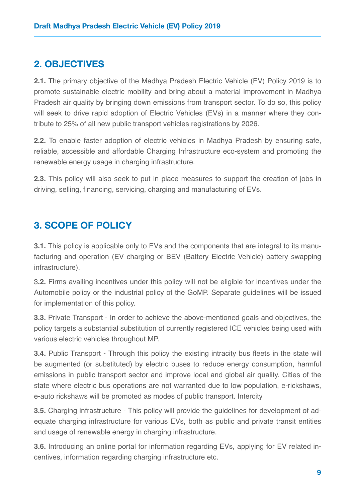## <span id="page-9-0"></span>**2. OBJECTIVES**

**2.1.** The primary objective of the Madhya Pradesh Electric Vehicle (EV) Policy 2019 is to promote sustainable electric mobility and bring about a material improvement in Madhya Pradesh air quality by bringing down emissions from transport sector. To do so, this policy will seek to drive rapid adoption of Electric Vehicles (EVs) in a manner where they contribute to 25% of all new public transport vehicles registrations by 2026.

**2.2.** To enable faster adoption of electric vehicles in Madhya Pradesh by ensuring safe, reliable, accessible and affordable Charging Infrastructure eco-system and promoting the renewable energy usage in charging infrastructure.

**2.3.** This policy will also seek to put in place measures to support the creation of jobs in driving, selling, financing, servicing, charging and manufacturing of EVs.

# <span id="page-9-1"></span>**3. SCOPE OF POLICY**

**3.1.** This policy is applicable only to EVs and the components that are integral to its manufacturing and operation (EV charging or BEV (Battery Electric Vehicle) battery swapping infrastructure).

3**.2.** Firms availing incentives under this policy will not be eligible for incentives under the Automobile policy or the industrial policy of the GoMP. Separate guidelines will be issued for implementation of this policy.

**3.3.** Private Transport - In order to achieve the above-mentioned goals and objectives, the policy targets a substantial substitution of currently registered ICE vehicles being used with various electric vehicles throughout MP.

**3.4.** Public Transport - Through this policy the existing intracity bus fleets in the state will be augmented (or substituted) by electric buses to reduce energy consumption, harmful emissions in public transport sector and improve local and global air quality. Cities of the state where electric bus operations are not warranted due to low population, e-rickshaws, e-auto rickshaws will be promoted as modes of public transport. Intercity

**3.5.** Charging infrastructure - This policy will provide the guidelines for development of adequate charging infrastructure for various EVs, both as public and private transit entities and usage of renewable energy in charging infrastructure.

**3.6.** Introducing an online portal for information regarding EVs, applying for EV related incentives, information regarding charging infrastructure etc.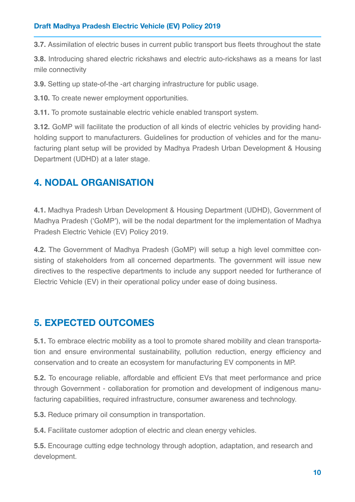**3.7.** Assimilation of electric buses in current public transport bus fleets throughout the state

**3.8.** Introducing shared electric rickshaws and electric auto-rickshaws as a means for last mile connectivity

**3.9.** Setting up state-of-the -art charging infrastructure for public usage.

**3.10.** To create newer employment opportunities.

**3.11.** To promote sustainable electric vehicle enabled transport system.

**3.12.** GoMP will facilitate the production of all kinds of electric vehicles by providing handholding support to manufacturers. Guidelines for production of vehicles and for the manufacturing plant setup will be provided by Madhya Pradesh Urban Development & Housing Department (UDHD) at a later stage.

# <span id="page-10-0"></span>**4. NODAL ORGANISATION**

**4.1.** Madhya Pradesh Urban Development & Housing Department (UDHD), Government of Madhya Pradesh ('GoMP'), will be the nodal department for the implementation of Madhya Pradesh Electric Vehicle (EV) Policy 2019.

**4.2.** The Government of Madhya Pradesh (GoMP) will setup a high level committee consisting of stakeholders from all concerned departments. The government will issue new directives to the respective departments to include any support needed for furtherance of Electric Vehicle (EV) in their operational policy under ease of doing business.

# <span id="page-10-1"></span>**5. EXPECTED OUTCOMES**

**5.1.** To embrace electric mobility as a tool to promote shared mobility and clean transportation and ensure environmental sustainability, pollution reduction, energy efficiency and conservation and to create an ecosystem for manufacturing EV components in MP.

**5.2.** To encourage reliable, affordable and efficient EVs that meet performance and price through Government - collaboration for promotion and development of indigenous manufacturing capabilities, required infrastructure, consumer awareness and technology.

**5.3.** Reduce primary oil consumption in transportation.

**5.4.** Facilitate customer adoption of electric and clean energy vehicles.

**5.5.** Encourage cutting edge technology through adoption, adaptation, and research and development.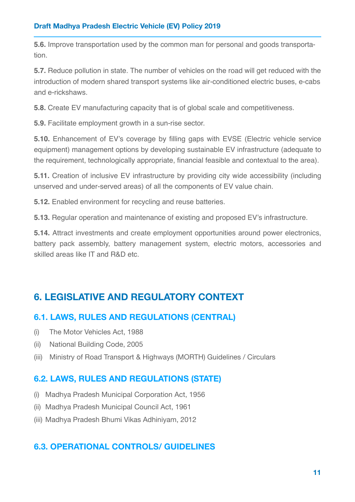**5.6.** Improve transportation used by the common man for personal and goods transportation.

**5.7.** Reduce pollution in state. The number of vehicles on the road will get reduced with the introduction of modern shared transport systems like air-conditioned electric buses, e-cabs and e-rickshaws.

**5.8.** Create EV manufacturing capacity that is of global scale and competitiveness.

**5.9.** Facilitate employment growth in a sun-rise sector.

**5.10.** Enhancement of EV's coverage by filling gaps with EVSE (Electric vehicle service equipment) management options by developing sustainable EV infrastructure (adequate to the requirement, technologically appropriate, financial feasible and contextual to the area).

**5.11.** Creation of inclusive EV infrastructure by providing city wide accessibility (including unserved and under-served areas) of all the components of EV value chain.

**5.12.** Enabled environment for recycling and reuse batteries.

**5.13.** Regular operation and maintenance of existing and proposed EV's infrastructure.

**5.14.** Attract investments and create employment opportunities around power electronics, battery pack assembly, battery management system, electric motors, accessories and skilled areas like IT and R&D etc.

# <span id="page-11-0"></span>**6. LEGISLATIVE AND REGULATORY CONTEXT**

### **6.1. LAWS, RULES AND REGULATIONS (CENTRAL)**

- (i) The Motor Vehicles Act, 1988
- (ii) National Building Code, 2005
- (iii) Ministry of Road Transport & Highways (MORTH) Guidelines / Circulars

### **6.2. LAWS, RULES AND REGULATIONS (STATE)**

- (i) Madhya Pradesh Municipal Corporation Act, 1956
- (ii) Madhya Pradesh Municipal Council Act, 1961
- (iii) Madhya Pradesh Bhumi Vikas Adhiniyam, 2012

### **6.3. OPERATIONAL CONTROLS/ GUIDELINES**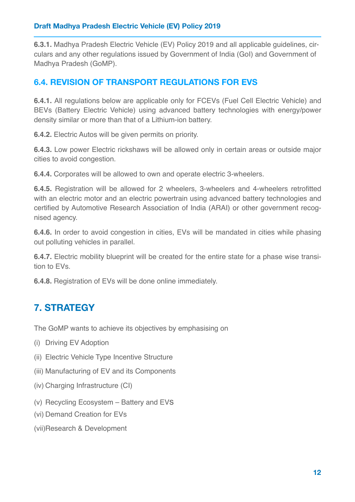**6.3.1.** Madhya Pradesh Electric Vehicle (EV) Policy 2019 and all applicable guidelines, circulars and any other regulations issued by Government of India (GoI) and Government of Madhya Pradesh (GoMP).

### **6.4. REVISION OF TRANSPORT REGULATIONS FOR EVS**

**6.4.1.** All regulations below are applicable only for FCEVs (Fuel Cell Electric Vehicle) and BEVs (Battery Electric Vehicle) using advanced battery technologies with energy/power density similar or more than that of a Lithium-ion battery.

**6.4.2.** Electric Autos will be given permits on priority.

**6.4.3.** Low power Electric rickshaws will be allowed only in certain areas or outside major cities to avoid congestion.

**6.4.4.** Corporates will be allowed to own and operate electric 3-wheelers.

**6.4.5.** Registration will be allowed for 2 wheelers, 3-wheelers and 4-wheelers retrofitted with an electric motor and an electric powertrain using advanced battery technologies and certified by Automotive Research Association of India (ARAI) or other government recognised agency.

**6.4.6.** In order to avoid congestion in cities, EVs will be mandated in cities while phasing out polluting vehicles in parallel.

**6.4.7.** Electric mobility blueprint will be created for the entire state for a phase wise transition to EVs.

**6.4.8.** Registration of EVs will be done online immediately.

# <span id="page-12-0"></span>**7. STRATEGY**

The GoMP wants to achieve its objectives by emphasising on

- (i) Driving EV Adoption
- (ii) Electric Vehicle Type Incentive Structure
- (iii) Manufacturing of EV and its Components
- (iv) Charging Infrastructure (CI)
- (v) Recycling Ecosystem Battery and EVs
- (vi) Demand Creation for EVs
- (vii)Research & Development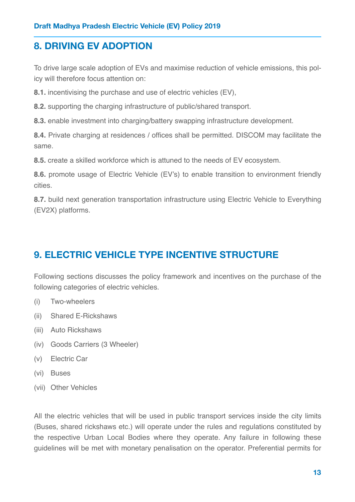# <span id="page-13-0"></span>**8. DRIVING EV ADOPTION**

To drive large scale adoption of EVs and maximise reduction of vehicle emissions, this policy will therefore focus attention on:

**8.1.** incentivising the purchase and use of electric vehicles (EV),

**8.2.** supporting the charging infrastructure of public/shared transport.

**8.3.** enable investment into charging/battery swapping infrastructure development.

**8.4.** Private charging at residences / offices shall be permitted. DISCOM may facilitate the same.

**8.5.** create a skilled workforce which is attuned to the needs of EV ecosystem.

**8.6.** promote usage of Electric Vehicle (EV's) to enable transition to environment friendly cities.

**8.7.** build next generation transportation infrastructure using Electric Vehicle to Everything (EV2X) platforms.

# <span id="page-13-1"></span>**9. ELECTRIC VEHICLE TYPE INCENTIVE STRUCTURE**

Following sections discusses the policy framework and incentives on the purchase of the following categories of electric vehicles.

- (i) Two-wheelers
- (ii) Shared E-Rickshaws
- (iii) Auto Rickshaws
- (iv) Goods Carriers (3 Wheeler)
- (v) Electric Car
- (vi) Buses
- (vii) Other Vehicles

All the electric vehicles that will be used in public transport services inside the city limits (Buses, shared rickshaws etc.) will operate under the rules and regulations constituted by the respective Urban Local Bodies where they operate. Any failure in following these guidelines will be met with monetary penalisation on the operator. Preferential permits for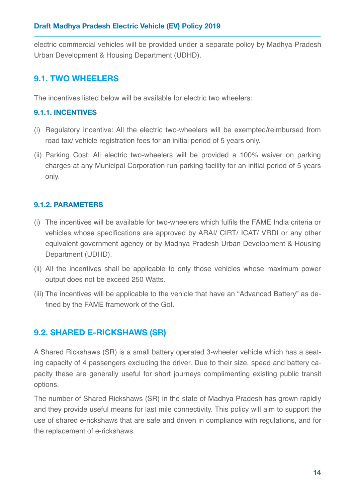electric commercial vehicles will be provided under a separate policy by Madhya Pradesh Urban Development & Housing Department (UDHD).

### **9.1. TWO WHEELERS**

The incentives listed below will be available for electric two wheelers:

#### **9.1.1. INCENTIVES**

- (i) Regulatory Incentive: All the electric two-wheelers will be exempted/reimbursed from road tax/ vehicle registration fees for an initial period of 5 years only.
- (ii) Parking Cost: All electric two-wheelers will be provided a 100% waiver on parking charges at any Municipal Corporation run parking facility for an initial period of 5 years only.

### **9.1.2. PARAMETERS**

- (i) The incentives will be available for two-wheelers which fulfils the FAME India criteria or vehicles whose specifications are approved by ARAI/ CIRT/ ICAT/ VRDI or any other equivalent government agency or by Madhya Pradesh Urban Development & Housing Department (UDHD).
- (ii) All the incentives shall be applicable to only those vehicles whose maximum power output does not be exceed 250 Watts.
- (iii) The incentives will be applicable to the vehicle that have an "Advanced Battery" as defined by the FAME framework of the GoI.

### **9.2. SHARED E-RICKSHAWS (SR)**

A Shared Rickshaws (SR) is a small battery operated 3-wheeler vehicle which has a seating capacity of 4 passengers excluding the driver. Due to their size, speed and battery capacity these are generally useful for short journeys complimenting existing public transit options.

The number of Shared Rickshaws (SR) in the state of Madhya Pradesh has grown rapidly and they provide useful means for last mile connectivity. This policy will aim to support the use of shared e-rickshaws that are safe and driven in compliance with regulations, and for the replacement of e-rickshaws.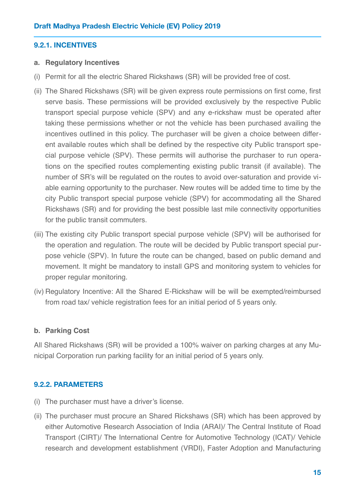#### **9.2.1. INCENTIVES**

#### **a. Regulatory Incentives**

- (i) Permit for all the electric Shared Rickshaws (SR) will be provided free of cost.
- (ii) The Shared Rickshaws (SR) will be given express route permissions on first come, first serve basis. These permissions will be provided exclusively by the respective Public transport special purpose vehicle (SPV) and any e-rickshaw must be operated after taking these permissions whether or not the vehicle has been purchased availing the incentives outlined in this policy. The purchaser will be given a choice between different available routes which shall be defined by the respective city Public transport special purpose vehicle (SPV). These permits will authorise the purchaser to run operations on the specified routes complementing existing public transit (if available). The number of SR's will be regulated on the routes to avoid over-saturation and provide viable earning opportunity to the purchaser. New routes will be added time to time by the city Public transport special purpose vehicle (SPV) for accommodating all the Shared Rickshaws (SR) and for providing the best possible last mile connectivity opportunities for the public transit commuters.
- (iii) The existing city Public transport special purpose vehicle (SPV) will be authorised for the operation and regulation. The route will be decided by Public transport special purpose vehicle (SPV). In future the route can be changed, based on public demand and movement. It might be mandatory to install GPS and monitoring system to vehicles for proper regular monitoring.
- (iv) Regulatory Incentive: All the Shared E-Rickshaw will be will be exempted/reimbursed from road tax/ vehicle registration fees for an initial period of 5 years only.

#### **b. Parking Cost**

All Shared Rickshaws (SR) will be provided a 100% waiver on parking charges at any Municipal Corporation run parking facility for an initial period of 5 years only.

#### **9.2.2. PARAMETERS**

- (i) The purchaser must have a driver's license.
- (ii) The purchaser must procure an Shared Rickshaws (SR) which has been approved by either Automotive Research Association of India (ARAI)/ The Central Institute of Road Transport (CIRT)/ The International Centre for Automotive Technology (ICAT)/ Vehicle research and development establishment (VRDI), Faster Adoption and Manufacturing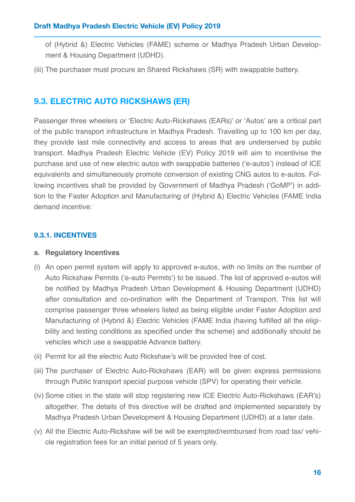of (Hybrid &) Electric Vehicles (FAME) scheme or Madhya Pradesh Urban Development & Housing Department (UDHD).

(iii) The purchaser must procure an Shared Rickshaws (SR) with swappable battery.

### **9.3. ELECTRIC AUTO RICKSHAWS (ER)**

Passenger three wheelers or 'Electric Auto-Rickshaws (EARs)' or 'Autos' are a critical part of the public transport infrastructure in Madhya Pradesh. Travelling up to 100 km per day, they provide last mile connectivity and access to areas that are underserved by public transport. Madhya Pradesh Electric Vehicle (EV) Policy 2019 will aim to incentivise the purchase and use of new electric autos with swappable batteries ('e-autos') instead of ICE equivalents and simultaneously promote conversion of existing CNG autos to e-autos. Following incentives shall be provided by Government of Madhya Pradesh ('GoMP') in addition to the Faster Adoption and Manufacturing of (Hybrid &) Electric Vehicles (FAME India demand incentive:

### **9.3.1. INCENTIVES**

#### **a. Regulatory Incentives**

- (i) An open permit system will apply to approved e-autos, with no limits on the number of Auto Rickshaw Permits ('e-auto Permits') to be issued. The list of approved e-autos will be notified by Madhya Pradesh Urban Development & Housing Department (UDHD) after consultation and co-ordination with the Department of Transport. This list will comprise passenger three wheelers listed as being eligible under Faster Adoption and Manufacturing of (Hybrid &) Electric Vehicles (FAME India (having fulfilled all the eligibility and testing conditions as specified under the scheme) and additionally should be vehicles which use a swappable Advance battery.
- (ii) Permit for all the electric Auto Rickshaw's will be provided free of cost.
- (iii) The purchaser of Electric Auto-Rickshaws (EAR) will be given express permissions through Public transport special purpose vehicle (SPV) for operating their vehicle.
- (iv) Some cities in the state will stop registering new ICE Electric Auto-Rickshaws (EAR's) altogether. The details of this directive will be drafted and implemented separately by Madhya Pradesh Urban Development & Housing Department (UDHD) at a later date.
- (v) All the Electric Auto-Rickshaw will be will be exempted/reimbursed from road tax/ vehicle registration fees for an initial period of 5 years only.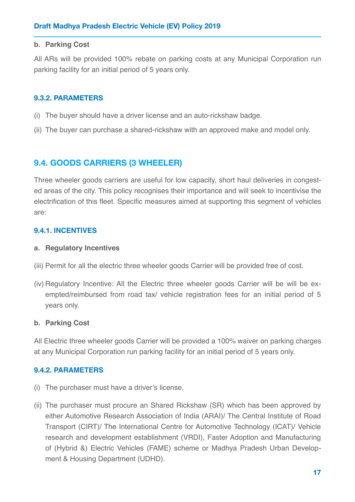#### **b. Parking Cost**

All ARs will be provided 100% rebate on parking costs at any Municipal Corporation run parking facility for an initial period of 5 years only.

#### **9.3.2. PARAMETERS**

- (i) The buyer should have a driver license and an auto-rickshaw badge.
- (ii) The buyer can purchase a shared-rickshaw with an approved make and model only.

### **9.4. GOODS CARRIERS (3 WHEELER)**

Three wheeler goods carriers are useful for low capacity, short haul deliveries in congested areas of the city. This policy recognises their importance and will seek to incentivise the electrification of this fleet. Specific measures aimed at supporting this segment of vehicles are:

#### **9.4.1. INCENTIVES**

#### **a. Regulatory Incentives**

- (iii) Permit for all the electric three wheeler goods Carrier will be provided free of cost.
- (iv) Regulatory Incentive: All the Electric three wheeler goods Carrier will be will be exempted/reimbursed from road tax/ vehicle registration fees for an initial period of 5 years only.

#### **b. Parking Cost**

All Electric three wheeler goods Carrier will be provided a 100% waiver on parking charges at any Municipal Corporation run parking facility for an initial period of 5 years only.

#### **9.4.2. PARAMETERS**

- (i) The purchaser must have a driver's license.
- (ii) The purchaser must procure an Shared Rickshaw (SR) which has been approved by either Automotive Research Association of India (ARAI)/ The Central Institute of Road Transport (CIRT)/ The International Centre for Automotive Technology (ICAT)/ Vehicle research and development establishment (VRDI), Faster Adoption and Manufacturing of (Hybrid &) Electric Vehicles (FAME) scheme or Madhya Pradesh Urban Development & Housing Department (UDHD).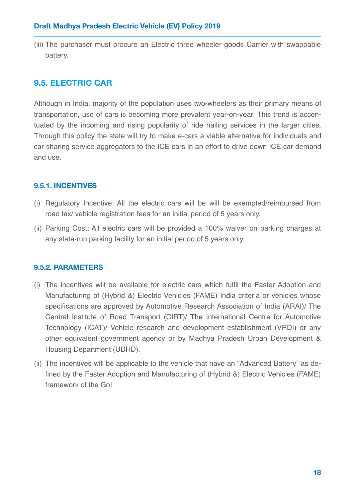(iii) The purchaser must procure an Electric three wheeler goods Carrier with swappable battery.

### **9.5. ELECTRIC CAR**

Although in India, majority of the population uses two-wheelers as their primary means of transportation, use of cars is becoming more prevalent year-on-year. This trend is accentuated by the incoming and rising popularity of ride hailing services in the larger cities. Through this policy the state will try to make e-cars a viable alternative for individuals and car sharing service aggregators to the ICE cars in an effort to drive down ICE car demand and use.

### **9.5.1. INCENTIVES**

- (i) Regulatory Incentive: All the electric cars will be will be exempted/reimbursed from road tax/ vehicle registration fees for an initial period of 5 years only.
- (ii) Parking Cost: All electric cars will be provided a 100% waiver on parking charges at any state-run parking facility for an initial period of 5 years only.

### **9.5.2. PARAMETERS**

- (i) The incentives will be available for electric cars which fulfil the Faster Adoption and Manufacturing of (Hybrid &) Electric Vehicles (FAME) India criteria or vehicles whose specifications are approved by Automotive Research Association of India (ARAI)/ The Central Institute of Road Transport (CIRT)/ The International Centre for Automotive Technology (ICAT)/ Vehicle research and development establishment (VRDI) or any other equivalent government agency or by Madhya Pradesh Urban Development & Housing Department (UDHD).
- (ii) The incentives will be applicable to the vehicle that have an "Advanced Battery" as defined by the Faster Adoption and Manufacturing of (Hybrid &) Electric Vehicles (FAME) framework of the GoI.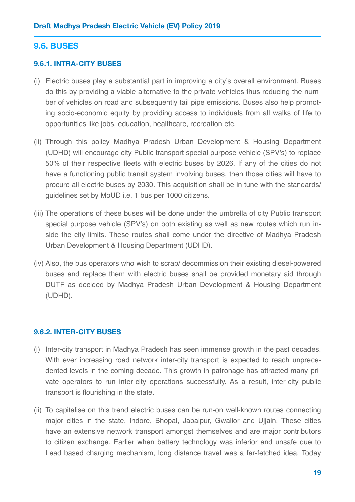#### **9.6. BUSES**

#### **9.6.1. INTRA-CITY BUSES**

- (i) Electric buses play a substantial part in improving a city's overall environment. Buses do this by providing a viable alternative to the private vehicles thus reducing the number of vehicles on road and subsequently tail pipe emissions. Buses also help promoting socio-economic equity by providing access to individuals from all walks of life to opportunities like jobs, education, healthcare, recreation etc.
- (ii) Through this policy Madhya Pradesh Urban Development & Housing Department (UDHD) will encourage city Public transport special purpose vehicle (SPV's) to replace 50% of their respective fleets with electric buses by 2026. If any of the cities do not have a functioning public transit system involving buses, then those cities will have to procure all electric buses by 2030. This acquisition shall be in tune with the standards/ guidelines set by MoUD i.e. 1 bus per 1000 citizens.
- (iii) The operations of these buses will be done under the umbrella of city Public transport special purpose vehicle (SPV's) on both existing as well as new routes which run inside the city limits. These routes shall come under the directive of Madhya Pradesh Urban Development & Housing Department (UDHD).
- (iv) Also, the bus operators who wish to scrap/ decommission their existing diesel-powered buses and replace them with electric buses shall be provided monetary aid through DUTF as decided by Madhya Pradesh Urban Development & Housing Department (UDHD).

#### **9.6.2. INTER-CITY BUSES**

- (i) Inter-city transport in Madhya Pradesh has seen immense growth in the past decades. With ever increasing road network inter-city transport is expected to reach unprecedented levels in the coming decade. This growth in patronage has attracted many private operators to run inter-city operations successfully. As a result, inter-city public transport is flourishing in the state.
- (ii) To capitalise on this trend electric buses can be run-on well-known routes connecting major cities in the state, Indore, Bhopal, Jabalpur, Gwalior and Ujjain. These cities have an extensive network transport amongst themselves and are major contributors to citizen exchange. Earlier when battery technology was inferior and unsafe due to Lead based charging mechanism, long distance travel was a far-fetched idea. Today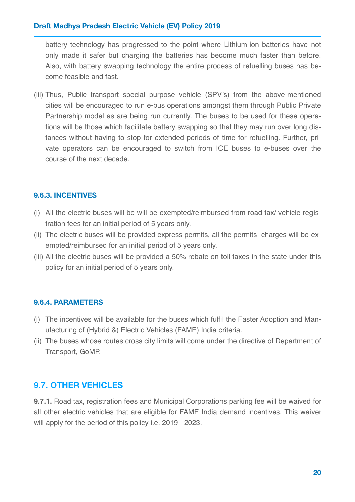battery technology has progressed to the point where Lithium-ion batteries have not only made it safer but charging the batteries has become much faster than before. Also, with battery swapping technology the entire process of refuelling buses has become feasible and fast.

(iii) Thus, Public transport special purpose vehicle (SPV's) from the above-mentioned cities will be encouraged to run e-bus operations amongst them through Public Private Partnership model as are being run currently. The buses to be used for these operations will be those which facilitate battery swapping so that they may run over long distances without having to stop for extended periods of time for refuelling. Further, private operators can be encouraged to switch from ICE buses to e-buses over the course of the next decade.

#### **9.6.3. INCENTIVES**

- (i) All the electric buses will be will be exempted/reimbursed from road tax/ vehicle registration fees for an initial period of 5 years only.
- (ii) The electric buses will be provided express permits, all the permits charges will be exempted/reimbursed for an initial period of 5 years only.
- (iii) All the electric buses will be provided a 50% rebate on toll taxes in the state under this policy for an initial period of 5 years only.

#### **9.6.4. PARAMETERS**

- (i) The incentives will be available for the buses which fulfil the Faster Adoption and Manufacturing of (Hybrid &) Electric Vehicles (FAME) India criteria.
- (ii) The buses whose routes cross city limits will come under the directive of Department of Transport, GoMP.

### **9.7. OTHER VEHICLES**

**9.7.1.** Road tax, registration fees and Municipal Corporations parking fee will be waived for all other electric vehicles that are eligible for FAME India demand incentives. This waiver will apply for the period of this policy i.e. 2019 - 2023.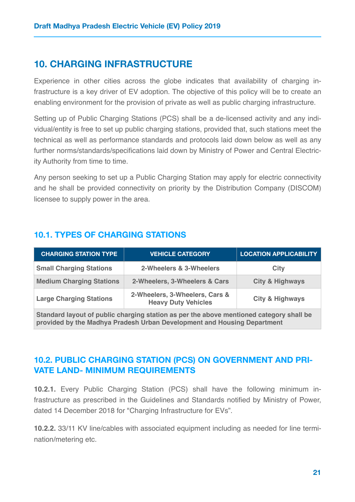### <span id="page-21-0"></span>**10. CHARGING INFRASTRUCTURE**

Experience in other cities across the globe indicates that availability of charging infrastructure is a key driver of EV adoption. The objective of this policy will be to create an enabling environment for the provision of private as well as public charging infrastructure.

Setting up of Public Charging Stations (PCS) shall be a de-licensed activity and any individual/entity is free to set up public charging stations, provided that, such stations meet the technical as well as performance standards and protocols laid down below as well as any further norms/standards/specifications laid down by Ministry of Power and Central Electricity Authority from time to time.

Any person seeking to set up a Public Charging Station may apply for electric connectivity and he shall be provided connectivity on priority by the Distribution Company (DISCOM) licensee to supply power in the area.

### **10.1. TYPES OF CHARGING STATIONS**

| <b>CHARGING STATION TYPE</b>                                                            | <b>VEHICLE CATEGORY</b>                                      | <b>LOCATION APPLICABILITY</b> |
|-----------------------------------------------------------------------------------------|--------------------------------------------------------------|-------------------------------|
| <b>Small Charging Stations</b>                                                          | 2-Wheelers & 3-Wheelers                                      | <b>City</b>                   |
| <b>Medium Charging Stations</b>                                                         | 2-Wheelers, 3-Wheelers & Cars                                | <b>City &amp; Highways</b>    |
| <b>Large Charging Stations</b>                                                          | 2-Wheelers, 3-Wheelers, Cars &<br><b>Heavy Duty Vehicles</b> | <b>City &amp; Highways</b>    |
| Standard layout of public charging station as per the above mentioned category shall be |                                                              |                               |

**provided by the Madhya Pradesh Urban Development and Housing Department**

### **10.2. PUBLIC CHARGING STATION (PCS) ON GOVERNMENT AND PRI-VATE LAND- MINIMUM REQUIREMENTS**

**10.2.1.** Every Public Charging Station (PCS) shall have the following minimum infrastructure as prescribed in the Guidelines and Standards notified by Ministry of Power, dated 14 December 2018 for "Charging Infrastructure for EVs".

**10.2.2.** 33/11 KV line/cables with associated equipment including as needed for line termination/metering etc.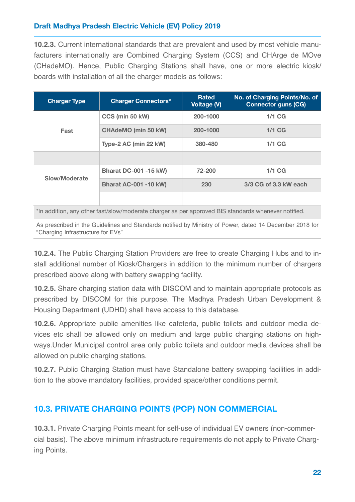**10.2.3.** Current international standards that are prevalent and used by most vehicle manufacturers internationally are Combined Charging System (CCS) and CHArge de MOve (CHadeMO). Hence, Public Charging Stations shall have, one or more electric kiosk/ boards with installation of all the charger models as follows:

| <b>Charger Type</b>                                                                                 | <b>Charger Connectors*</b>   | <b>Rated</b><br><b>Voltage (V)</b> | No. of Charging Points/No. of<br><b>Connector guns (CG)</b> |
|-----------------------------------------------------------------------------------------------------|------------------------------|------------------------------------|-------------------------------------------------------------|
| Fast                                                                                                | CCS (min 50 kW)              | 200-1000                           | $1/1$ CG                                                    |
|                                                                                                     | <b>CHAdeMO (min 50 kW)</b>   | 200-1000                           | $1/1$ CG                                                    |
|                                                                                                     | Type-2 AC (min 22 kW)        | 380-480                            | $1/1$ CG                                                    |
|                                                                                                     |                              |                                    |                                                             |
| Slow/Moderate                                                                                       | <b>Bharat DC-001 -15 kW)</b> | 72-200                             | $1/1$ CG                                                    |
|                                                                                                     | <b>Bharat AC-001 -10 kW)</b> | 230                                | 3/3 CG of 3.3 kW each                                       |
|                                                                                                     |                              |                                    |                                                             |
| *In addition, any other fast/slow/moderate charger as per approved BIS standards whenever notified. |                              |                                    |                                                             |

As prescribed in the Guidelines and Standards notified by Ministry of Power, dated 14 December 2018 for "Charging Infrastructure for EVs"

**10.2.4.** The Public Charging Station Providers are free to create Charging Hubs and to install additional number of Kiosk/Chargers in addition to the minimum number of chargers prescribed above along with battery swapping facility.

**10.2.5.** Share charging station data with DISCOM and to maintain appropriate protocols as prescribed by DISCOM for this purpose. The Madhya Pradesh Urban Development & Housing Department (UDHD) shall have access to this database.

**10.2.6.** Appropriate public amenities like cafeteria, public toilets and outdoor media devices etc shall be allowed only on medium and large public charging stations on highways.Under Municipal control area only public toilets and outdoor media devices shall be allowed on public charging stations.

**10.2.7.** Public Charging Station must have Standalone battery swapping facilities in addition to the above mandatory facilities, provided space/other conditions permit.

### **10.3. PRIVATE CHARGING POINTS (PCP) NON COMMERCIAL**

**10.3.1.** Private Charging Points meant for self-use of individual EV owners (non-commercial basis). The above minimum infrastructure requirements do not apply to Private Charging Points.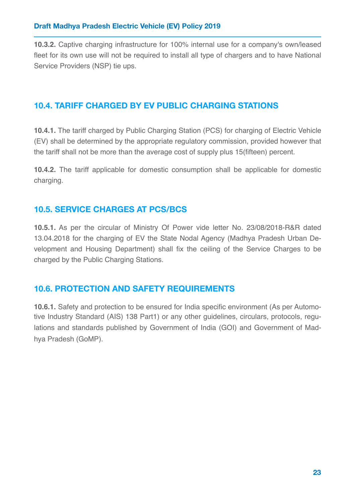**10.3.2.** Captive charging infrastructure for 100% internal use for a company's own/leased fleet for its own use will not be required to install all type of chargers and to have National Service Providers (NSP) tie ups.

### **10.4. TARIFF CHARGED BY EV PUBLIC CHARGING STATIONS**

**10.4.1.** The tariff charged by Public Charging Station (PCS) for charging of Electric Vehicle (EV) shall be determined by the appropriate regulatory commission, provided however that the tariff shall not be more than the average cost of supply plus 15(fifteen) percent.

**10.4.2.** The tariff applicable for domestic consumption shall be applicable for domestic charging.

### **10.5. SERVICE CHARGES AT PCS/BCS**

**10.5.1.** As per the circular of Ministry Of Power vide letter No. 23/08/2018-R&R dated 13.04.2018 for the charging of EV the State Nodal Agency (Madhya Pradesh Urban Development and Housing Department) shall fix the ceiling of the Service Charges to be charged by the Public Charging Stations.

# **10.6. PROTECTION AND SAFETY REQUIREMENTS**

**10.6.1.** Safety and protection to be ensured for India specific environment (As per Automotive Industry Standard (AIS) 138 Part1) or any other guidelines, circulars, protocols, regulations and standards published by Government of India (GOI) and Government of Madhya Pradesh (GoMP).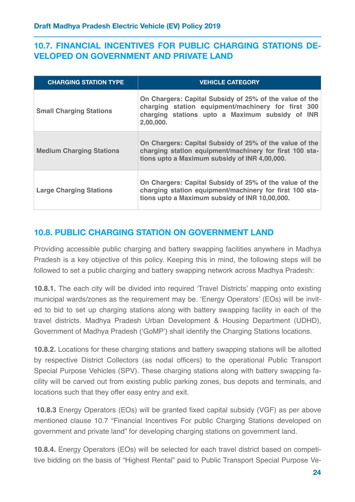### **10.7. FINANCIAL INCENTIVES FOR PUBLIC CHARGING STATIONS DE-VELOPED ON GOVERNMENT AND PRIVATE LAND**

| <b>CHARGING STATION TYPE</b>    | <b>VEHICLE CATEGORY</b>                                                                                                                                                       |
|---------------------------------|-------------------------------------------------------------------------------------------------------------------------------------------------------------------------------|
| <b>Small Charging Stations</b>  | On Chargers: Capital Subsidy of 25% of the value of the<br>charging station equipment/machinery for first 300<br>charging stations upto a Maximum subsidy of INR<br>2,00,000. |
| <b>Medium Charging Stations</b> | On Chargers: Capital Subsidy of 25% of the value of the<br>charging station equipment/machinery for first 100 sta-<br>tions upto a Maximum subsidy of INR 4,00,000.           |
| <b>Large Charging Stations</b>  | On Chargers: Capital Subsidy of 25% of the value of the<br>charging station equipment/machinery for first 100 sta-<br>tions upto a Maximum subsidy of INR 10,00,000.          |

### **10.8. PUBLIC CHARGING STATION ON GOVERNMENT LAND**

Providing accessible public charging and battery swapping facilities anywhere in Madhya Pradesh is a key objective of this policy. Keeping this in mind, the following steps will be followed to set a public charging and battery swapping network across Madhya Pradesh:

**10.8.1.** The each city will be divided into required 'Travel Districts' mapping onto existing municipal wards/zones as the requirement may be. 'Energy Operators' (EOs) will be invited to bid to set up charging stations along with battery swapping facility in each of the travel districts. Madhya Pradesh Urban Development & Housing Department (UDHD), Government of Madhya Pradesh ('GoMP') shall identify the Charging Stations locations.

**10.8.2.** Locations for these charging stations and battery swapping stations will be allotted by respective District Collectors (as nodal officers) to the operational Public Transport Special Purpose Vehicles (SPV). These charging stations along with battery swapping facility will be carved out from existing public parking zones, bus depots and terminals, and locations such that they offer easy entry and exit.

**10.8.3** Energy Operators (EOs) will be granted fixed capital subsidy (VGF) as per above mentioned clause 10.7 "Financial Incentives For public Charging Stations developed on government and private land" for developing charging stations on government land.

**10.8.4.** Energy Operators (EOs) will be selected for each travel district based on competitive bidding on the basis of "Highest Rental" paid to Public Transport Special Purpose Ve-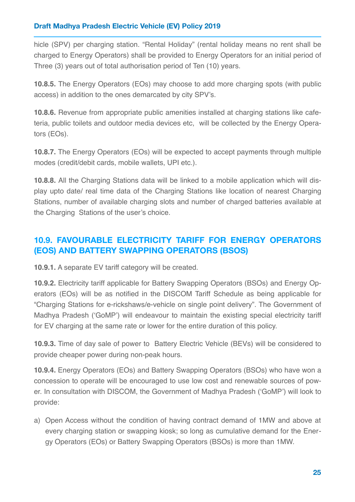hicle (SPV) per charging station. "Rental Holiday" (rental holiday means no rent shall be charged to Energy Operators) shall be provided to Energy Operators for an initial period of Three (3) years out of total authorisation period of Ten (10) years.

**10.8.5.** The Energy Operators (EOs) may choose to add more charging spots (with public access) in addition to the ones demarcated by city SPV's.

**10.8.6.** Revenue from appropriate public amenities installed at charging stations like cafeteria, public toilets and outdoor media devices etc, will be collected by the Energy Operators (EOs).

**10.8.7.** The Energy Operators (EOs) will be expected to accept payments through multiple modes (credit/debit cards, mobile wallets, UPI etc.).

**10.8.8.** All the Charging Stations data will be linked to a mobile application which will display upto date/ real time data of the Charging Stations like location of nearest Charging Stations, number of available charging slots and number of charged batteries available at the Charging Stations of the user's choice.

### **10.9. FAVOURABLE ELECTRICITY TARIFF FOR ENERGY OPERATORS (EOS) AND BATTERY SWAPPING OPERATORS (BSOS)**

**10.9.1.** A separate EV tariff category will be created.

**10.9.2.** Electricity tariff applicable for Battery Swapping Operators (BSOs) and Energy Operators (EOs) will be as notified in the DISCOM Tariff Schedule as being applicable for "Charging Stations for e-rickshaws/e-vehicle on single point delivery". The Government of Madhya Pradesh ('GoMP') will endeavour to maintain the existing special electricity tariff for EV charging at the same rate or lower for the entire duration of this policy.

**10.9.3.** Time of day sale of power to Battery Electric Vehicle (BEVs) will be considered to provide cheaper power during non-peak hours.

**10.9.4.** Energy Operators (EOs) and Battery Swapping Operators (BSOs) who have won a concession to operate will be encouraged to use low cost and renewable sources of power. In consultation with DISCOM, the Government of Madhya Pradesh ('GoMP') will look to provide:

a) Open Access without the condition of having contract demand of 1MW and above at every charging station or swapping kiosk; so long as cumulative demand for the Energy Operators (EOs) or Battery Swapping Operators (BSOs) is more than 1MW.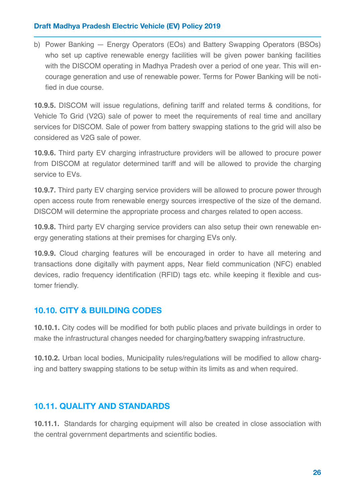b) Power Banking — Energy Operators (EOs) and Battery Swapping Operators (BSOs) who set up captive renewable energy facilities will be given power banking facilities with the DISCOM operating in Madhya Pradesh over a period of one year. This will encourage generation and use of renewable power. Terms for Power Banking will be notified in due course.

**10.9.5.** DISCOM will issue regulations, defining tariff and related terms & conditions, for Vehicle To Grid (V2G) sale of power to meet the requirements of real time and ancillary services for DISCOM. Sale of power from battery swapping stations to the grid will also be considered as V2G sale of power.

**10.9.6.** Third party EV charging infrastructure providers will be allowed to procure power from DISCOM at regulator determined tariff and will be allowed to provide the charging service to EVs.

**10.9.7.** Third party EV charging service providers will be allowed to procure power through open access route from renewable energy sources irrespective of the size of the demand. DISCOM will determine the appropriate process and charges related to open access.

**10.9.8.** Third party EV charging service providers can also setup their own renewable energy generating stations at their premises for charging EVs only.

**10.9.9.** Cloud charging features will be encouraged in order to have all metering and transactions done digitally with payment apps, Near field communication (NFC) enabled devices, radio frequency identification (RFID) tags etc. while keeping it flexible and customer friendly.

### **10.10. CITY & BUILDING CODES**

**10.10.1.** City codes will be modified for both public places and private buildings in order to make the infrastructural changes needed for charging/battery swapping infrastructure.

**10.10.2.** Urban local bodies, Municipality rules/regulations will be modified to allow charging and battery swapping stations to be setup within its limits as and when required.

### **10.11. QUALITY AND STANDARDS**

**10.11.1.** Standards for charging equipment will also be created in close association with the central government departments and scientific bodies.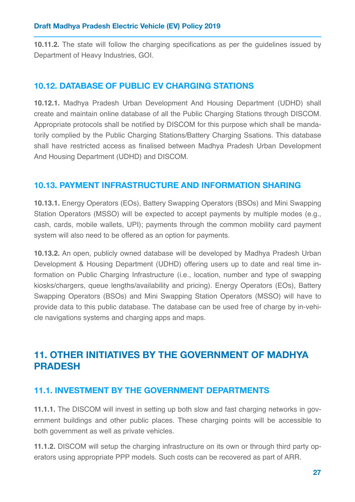**10.11.2.** The state will follow the charging specifications as per the guidelines issued by Department of Heavy Industries, GOI.

### **10.12. DATABASE OF PUBLIC EV CHARGING STATIONS**

**10.12.1.** Madhya Pradesh Urban Development And Housing Department (UDHD) shall create and maintain online database of all the Public Charging Stations through DISCOM. Appropriate protocols shall be notified by DISCOM for this purpose which shall be mandatorily complied by the Public Charging Stations/Battery Charging Ssations. This database shall have restricted access as finalised between Madhya Pradesh Urban Development And Housing Department (UDHD) and DISCOM.

### **10.13. PAYMENT INFRASTRUCTURE AND INFORMATION SHARING**

**10.13.1.** Energy Operators (EOs), Battery Swapping Operators (BSOs) and Mini Swapping Station Operators (MSSO) will be expected to accept payments by multiple modes (e.g., cash, cards, mobile wallets, UPI); payments through the common mobility card payment system will also need to be offered as an option for payments.

**10.13.2.** An open, publicly owned database will be developed by Madhya Pradesh Urban Development & Housing Department (UDHD) offering users up to date and real time information on Public Charging Infrastructure (i.e., location, number and type of swapping kiosks/chargers, queue lengths/availability and pricing). Energy Operators (EOs), Battery Swapping Operators (BSOs) and Mini Swapping Station Operators (MSSO) will have to provide data to this public database. The database can be used free of charge by in-vehicle navigations systems and charging apps and maps.

# <span id="page-27-0"></span>**11. OTHER INITIATIVES BY THE GOVERNMENT OF MADHYA PRADESH**

### **11.1. INVESTMENT BY THE GOVERNMENT DEPARTMENTS**

**11.1.1.** The DISCOM will invest in setting up both slow and fast charging networks in government buildings and other public places. These charging points will be accessible to both government as well as private vehicles.

**11.1.2.** DISCOM will setup the charging infrastructure on its own or through third party operators using appropriate PPP models. Such costs can be recovered as part of ARR.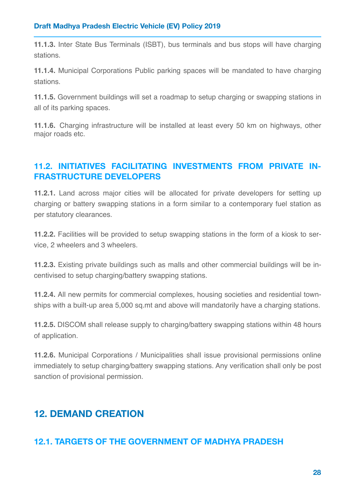**11.1.3.** Inter State Bus Terminals (ISBT), bus terminals and bus stops will have charging stations.

**11.1.4.** Municipal Corporations Public parking spaces will be mandated to have charging stations.

**11.1.5.** Government buildings will set a roadmap to setup charging or swapping stations in all of its parking spaces.

**11.1.6.** Charging infrastructure will be installed at least every 50 km on highways, other major roads etc.

### **11.2. INITIATIVES FACILITATING INVESTMENTS FROM PRIVATE IN-FRASTRUCTURE DEVELOPERS**

**11.2.1.** Land across major cities will be allocated for private developers for setting up charging or battery swapping stations in a form similar to a contemporary fuel station as per statutory clearances.

**11.2.2.** Facilities will be provided to setup swapping stations in the form of a kiosk to service, 2 wheelers and 3 wheelers.

**11.2.3.** Existing private buildings such as malls and other commercial buildings will be incentivised to setup charging/battery swapping stations.

**11.2.4.** All new permits for commercial complexes, housing societies and residential townships with a built-up area 5,000 sq.mt and above will mandatorily have a charging stations.

**11.2.5.** DISCOM shall release supply to charging/battery swapping stations within 48 hours of application.

**11.2.6.** Municipal Corporations / Municipalities shall issue provisional permissions online immediately to setup charging/battery swapping stations. Any verification shall only be post sanction of provisional permission.

# <span id="page-28-0"></span>**12. DEMAND CREATION**

### **12.1. TARGETS OF THE GOVERNMENT OF MADHYA PRADESH**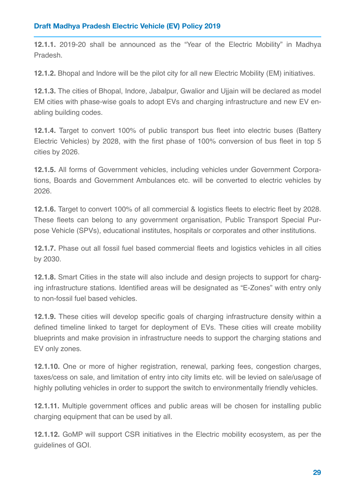**12.1.1.** 2019-20 shall be announced as the "Year of the Electric Mobility" in Madhya Pradesh.

**12.1.2.** Bhopal and Indore will be the pilot city for all new Electric Mobility (EM) initiatives.

**12.1.3.** The cities of Bhopal, Indore, Jabalpur, Gwalior and Ujiain will be declared as model EM cities with phase-wise goals to adopt EVs and charging infrastructure and new EV enabling building codes.

**12.1.4.** Target to convert 100% of public transport bus fleet into electric buses (Battery Electric Vehicles) by 2028, with the first phase of 100% conversion of bus fleet in top 5 cities by 2026.

**12.1.5.** All forms of Government vehicles, including vehicles under Government Corporations, Boards and Government Ambulances etc. will be converted to electric vehicles by 2026.

**12.1.6.** Target to convert 100% of all commercial & logistics fleets to electric fleet by 2028. These fleets can belong to any government organisation, Public Transport Special Purpose Vehicle (SPVs), educational institutes, hospitals or corporates and other institutions.

**12.1.7.** Phase out all fossil fuel based commercial fleets and logistics vehicles in all cities by 2030.

**12.1.8.** Smart Cities in the state will also include and design projects to support for charging infrastructure stations. Identified areas will be designated as "E-Zones" with entry only to non-fossil fuel based vehicles.

**12.1.9.** These cities will develop specific goals of charging infrastructure density within a defined timeline linked to target for deployment of EVs. These cities will create mobility blueprints and make provision in infrastructure needs to support the charging stations and EV only zones.

**12.1.10.** One or more of higher registration, renewal, parking fees, congestion charges, taxes/cess on sale, and limitation of entry into city limits etc. will be levied on sale/usage of highly polluting vehicles in order to support the switch to environmentally friendly vehicles.

**12.1.11.** Multiple government offices and public areas will be chosen for installing public charging equipment that can be used by all.

**12.1.12.** GoMP will support CSR initiatives in the Electric mobility ecosystem, as per the guidelines of GOI.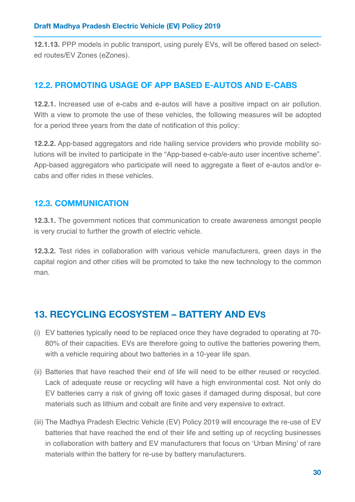**12.1.13.** PPP models in public transport, using purely EVs, will be offered based on selected routes/EV Zones (eZones).

### **12.2. PROMOTING USAGE OF APP BASED E-AUTOS AND E-CABS**

**12.2.1.** Increased use of e-cabs and e-autos will have a positive impact on air pollution. With a view to promote the use of these vehicles, the following measures will be adopted for a period three years from the date of notification of this policy:

**12.2.2.** App-based aggregators and ride hailing service providers who provide mobility solutions will be invited to participate in the "App-based e-cab/e-auto user incentive scheme". App-based aggregators who participate will need to aggregate a fleet of e-autos and/or ecabs and offer rides in these vehicles.

### **12.3. COMMUNICATION**

**12.3.1.** The government notices that communication to create awareness amongst people is very crucial to further the growth of electric vehicle.

**12.3.2.** Test rides in collaboration with various vehicle manufacturers, green days in the capital region and other cities will be promoted to take the new technology to the common man.

# <span id="page-30-0"></span>**13. RECYCLING ECOSYSTEM – BATTERY AND EVS**

- (i) EV batteries typically need to be replaced once they have degraded to operating at 70- 80% of their capacities. EVs are therefore going to outlive the batteries powering them, with a vehicle requiring about two batteries in a 10-year life span.
- (ii) Batteries that have reached their end of life will need to be either reused or recycled. Lack of adequate reuse or recycling will have a high environmental cost. Not only do EV batteries carry a risk of giving off toxic gases if damaged during disposal, but core materials such as lithium and cobalt are finite and very expensive to extract.
- (iii) The Madhya Pradesh Electric Vehicle (EV) Policy 2019 will encourage the re-use of EV batteries that have reached the end of their life and setting up of recycling businesses in collaboration with battery and EV manufacturers that focus on 'Urban Mining' of rare materials within the battery for re-use by battery manufacturers.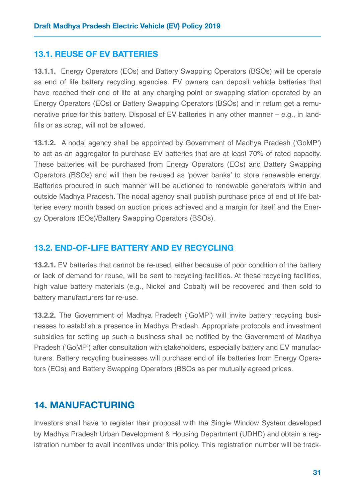#### **13.1. REUSE OF EV BATTERIES**

**13.1.1.** Energy Operators (EOs) and Battery Swapping Operators (BSOs) will be operate as end of life battery recycling agencies. EV owners can deposit vehicle batteries that have reached their end of life at any charging point or swapping station operated by an Energy Operators (EOs) or Battery Swapping Operators (BSOs) and in return get a remunerative price for this battery. Disposal of EV batteries in any other manner – e.g., in landfills or as scrap, will not be allowed.

**13.1.2.** A nodal agency shall be appointed by Government of Madhya Pradesh ('GoMP') to act as an aggregator to purchase EV batteries that are at least 70% of rated capacity. These batteries will be purchased from Energy Operators (EOs) and Battery Swapping Operators (BSOs) and will then be re-used as 'power banks' to store renewable energy. Batteries procured in such manner will be auctioned to renewable generators within and outside Madhya Pradesh. The nodal agency shall publish purchase price of end of life batteries every month based on auction prices achieved and a margin for itself and the Energy Operators (EOs)/Battery Swapping Operators (BSOs).

### **13.2. END-OF-LIFE BATTERY AND EV RECYCLING**

**13.2.1.** EV batteries that cannot be re-used, either because of poor condition of the battery or lack of demand for reuse, will be sent to recycling facilities. At these recycling facilities, high value battery materials (e.g., Nickel and Cobalt) will be recovered and then sold to battery manufacturers for re-use.

**13.2.2.** The Government of Madhya Pradesh ('GoMP') will invite battery recycling businesses to establish a presence in Madhya Pradesh. Appropriate protocols and investment subsidies for setting up such a business shall be notified by the Government of Madhya Pradesh ('GoMP') after consultation with stakeholders, especially battery and EV manufacturers. Battery recycling businesses will purchase end of life batteries from Energy Operators (EOs) and Battery Swapping Operators (BSOs as per mutually agreed prices.

### <span id="page-31-0"></span>**14. MANUFACTURING**

Investors shall have to register their proposal with the Single Window System developed by Madhya Pradesh Urban Development & Housing Department (UDHD) and obtain a registration number to avail incentives under this policy. This registration number will be track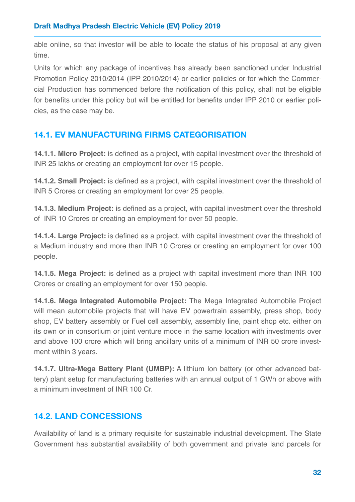able online, so that investor will be able to locate the status of his proposal at any given time.

Units for which any package of incentives has already been sanctioned under Industrial Promotion Policy 2010/2014 (IPP 2010/2014) or earlier policies or for which the Commercial Production has commenced before the notification of this policy, shall not be eligible for benefits under this policy but will be entitled for benefits under IPP 2010 or earlier policies, as the case may be.

### **14.1. EV MANUFACTURING FIRMS CATEGORISATION**

**14.1.1. Micro Project:** is defined as a project, with capital investment over the threshold of INR 25 lakhs or creating an employment for over 15 people.

**14.1.2. Small Project:** is defined as a project, with capital investment over the threshold of INR 5 Crores or creating an employment for over 25 people.

**14.1.3. Medium Project:** is defined as a project, with capital investment over the threshold of INR 10 Crores or creating an employment for over 50 people.

**14.1.4. Large Project:** is defined as a project, with capital investment over the threshold of a Medium industry and more than INR 10 Crores or creating an employment for over 100 people.

**14.1.5. Mega Project:** is defined as a project with capital investment more than INR 100 Crores or creating an employment for over 150 people.

**14.1.6. Mega Integrated Automobile Project:** The Mega Integrated Automobile Project will mean automobile projects that will have EV powertrain assembly, press shop, body shop, EV battery assembly or Fuel cell assembly, assembly line, paint shop etc. either on its own or in consortium or joint venture mode in the same location with investments over and above 100 crore which will bring ancillary units of a minimum of INR 50 crore investment within 3 years.

**14.1.7. Ultra-Mega Battery Plant (UMBP):** A lithium Ion battery (or other advanced battery) plant setup for manufacturing batteries with an annual output of 1 GWh or above with a minimum investment of INR 100 Cr.

### **14.2. LAND CONCESSIONS**

Availability of land is a primary requisite for sustainable industrial development. The State Government has substantial availability of both government and private land parcels for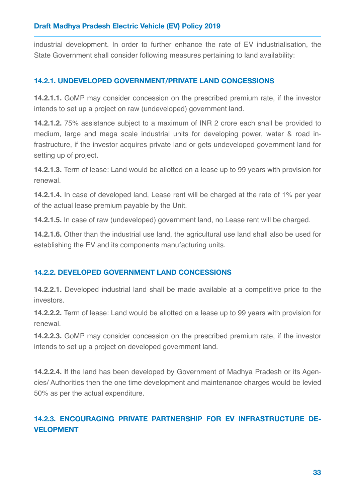industrial development. In order to further enhance the rate of EV industrialisation, the State Government shall consider following measures pertaining to land availability:

#### **14.2.1. UNDEVELOPED GOVERNMENT/PRIVATE LAND CONCESSIONS**

**14.2.1.1.** GoMP may consider concession on the prescribed premium rate, if the investor intends to set up a project on raw (undeveloped) government land.

**14.2.1.2.** 75% assistance subject to a maximum of INR 2 crore each shall be provided to medium, large and mega scale industrial units for developing power, water & road infrastructure, if the investor acquires private land or gets undeveloped government land for setting up of project.

**14.2.1.3.** Term of lease: Land would be allotted on a lease up to 99 years with provision for renewal.

**14.2.1.4.** In case of developed land, Lease rent will be charged at the rate of 1% per year of the actual lease premium payable by the Unit.

**14.2.1.5.** In case of raw (undeveloped) government land, no Lease rent will be charged.

**14.2.1.6.** Other than the industrial use land, the agricultural use land shall also be used for establishing the EV and its components manufacturing units.

#### **14.2.2. DEVELOPED GOVERNMENT LAND CONCESSIONS**

**14.2.2.1.** Developed industrial land shall be made available at a competitive price to the investors.

**14.2.2.2.** Term of lease: Land would be allotted on a lease up to 99 years with provision for renewal.

**14.2.2.3.** GoMP may consider concession on the prescribed premium rate, if the investor intends to set up a project on developed government land.

**14.2.2.4. I**f the land has been developed by Government of Madhya Pradesh or its Agencies/ Authorities then the one time development and maintenance charges would be levied 50% as per the actual expenditure.

### **14.2.3. ENCOURAGING PRIVATE PARTNERSHIP FOR EV INFRASTRUCTURE DE-VELOPMENT**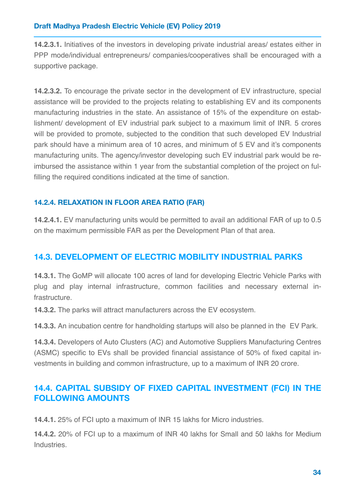**14.2.3.1.** Initiatives of the investors in developing private industrial areas/ estates either in PPP mode/individual entrepreneurs/ companies/cooperatives shall be encouraged with a supportive package.

**14.2.3.2.** To encourage the private sector in the development of EV infrastructure, special assistance will be provided to the projects relating to establishing EV and its components manufacturing industries in the state. An assistance of 15% of the expenditure on establishment/ development of EV industrial park subject to a maximum limit of INR. 5 crores will be provided to promote, subjected to the condition that such developed EV Industrial park should have a minimum area of 10 acres, and minimum of 5 EV and it's components manufacturing units. The agency/investor developing such EV industrial park would be reimbursed the assistance within 1 year from the substantial completion of the project on fulfilling the required conditions indicated at the time of sanction.

### **14.2.4. RELAXATION IN FLOOR AREA RATIO (FAR)**

**14.2.4.1.** EV manufacturing units would be permitted to avail an additional FAR of up to 0.5 on the maximum permissible FAR as per the Development Plan of that area.

### **14.3. DEVELOPMENT OF ELECTRIC MOBILITY INDUSTRIAL PARKS**

**14.3.1.** The GoMP will allocate 100 acres of land for developing Electric Vehicle Parks with plug and play internal infrastructure, common facilities and necessary external infrastructure.

**14.3.2.** The parks will attract manufacturers across the EV ecosystem.

**14.3.3.** An incubation centre for handholding startups will also be planned in the EV Park.

**14.3.4.** Developers of Auto Clusters (AC) and Automotive Suppliers Manufacturing Centres (ASMC) specific to EVs shall be provided financial assistance of 50% of fixed capital investments in building and common infrastructure, up to a maximum of INR 20 crore.

### **14.4. CAPITAL SUBSIDY OF FIXED CAPITAL INVESTMENT (FCI) IN THE FOLLOWING AMOUNTS**

**14.4.1.** 25% of FCI upto a maximum of INR 15 lakhs for Micro industries.

**14.4.2.** 20% of FCI up to a maximum of INR 40 lakhs for Small and 50 lakhs for Medium Industries.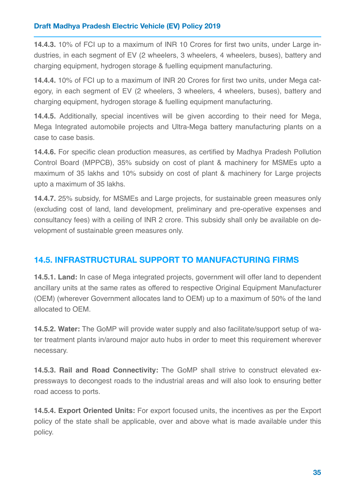**14.4.3.** 10% of FCI up to a maximum of INR 10 Crores for first two units, under Large industries, in each segment of EV (2 wheelers, 3 wheelers, 4 wheelers, buses), battery and charging equipment, hydrogen storage & fuelling equipment manufacturing.

**14.4.4.** 10% of FCI up to a maximum of INR 20 Crores for first two units, under Mega category, in each segment of EV (2 wheelers, 3 wheelers, 4 wheelers, buses), battery and charging equipment, hydrogen storage & fuelling equipment manufacturing.

**14.4.5.** Additionally, special incentives will be given according to their need for Mega, Mega Integrated automobile projects and Ultra-Mega battery manufacturing plants on a case to case basis.

**14.4.6.** For specific clean production measures, as certified by Madhya Pradesh Pollution Control Board (MPPCB), 35% subsidy on cost of plant & machinery for MSMEs upto a maximum of 35 lakhs and 10% subsidy on cost of plant & machinery for Large projects upto a maximum of 35 lakhs.

**14.4.7.** 25% subsidy, for MSMEs and Large projects, for sustainable green measures only (excluding cost of land, land development, preliminary and pre-operative expenses and consultancy fees) with a ceiling of INR 2 crore. This subsidy shall only be available on development of sustainable green measures only.

### **14.5. INFRASTRUCTURAL SUPPORT TO MANUFACTURING FIRMS**

**14.5.1. Land:** In case of Mega integrated projects, government will offer land to dependent ancillary units at the same rates as offered to respective Original Equipment Manufacturer (OEM) (wherever Government allocates land to OEM) up to a maximum of 50% of the land allocated to OEM.

**14.5.2. Water:** The GoMP will provide water supply and also facilitate/support setup of water treatment plants in/around major auto hubs in order to meet this requirement wherever necessary.

**14.5.3. Rail and Road Connectivity:** The GoMP shall strive to construct elevated expressways to decongest roads to the industrial areas and will also look to ensuring better road access to ports.

**14.5.4. Export Oriented Units:** For export focused units, the incentives as per the Export policy of the state shall be applicable, over and above what is made available under this policy.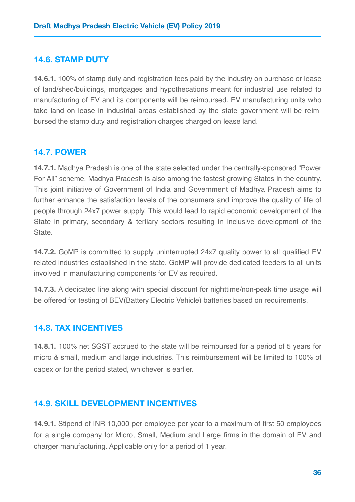#### **14.6. STAMP DUTY**

**14.6.1.** 100% of stamp duty and registration fees paid by the industry on purchase or lease of land/shed/buildings, mortgages and hypothecations meant for industrial use related to manufacturing of EV and its components will be reimbursed. EV manufacturing units who take land on lease in industrial areas established by the state government will be reimbursed the stamp duty and registration charges charged on lease land.

#### **14.7. POWER**

**14.7.1.** Madhya Pradesh is one of the state selected under the centrally-sponsored "Power For All" scheme. Madhya Pradesh is also among the fastest growing States in the country. This joint initiative of Government of India and Government of Madhya Pradesh aims to further enhance the satisfaction levels of the consumers and improve the quality of life of people through 24x7 power supply. This would lead to rapid economic development of the State in primary, secondary & tertiary sectors resulting in inclusive development of the State.

**14.7.2.** GoMP is committed to supply uninterrupted 24x7 quality power to all qualified EV related industries established in the state. GoMP will provide dedicated feeders to all units involved in manufacturing components for EV as required.

**14.7.3.** A dedicated line along with special discount for nighttime/non-peak time usage will be offered for testing of BEV(Battery Electric Vehicle) batteries based on requirements.

#### **14.8. TAX INCENTIVES**

**14.8.1.** 100% net SGST accrued to the state will be reimbursed for a period of 5 years for micro & small, medium and large industries. This reimbursement will be limited to 100% of capex or for the period stated, whichever is earlier.

### **14.9. SKILL DEVELOPMENT INCENTIVES**

**14.9.1.** Stipend of INR 10,000 per employee per year to a maximum of first 50 employees for a single company for Micro, Small, Medium and Large firms in the domain of EV and charger manufacturing. Applicable only for a period of 1 year.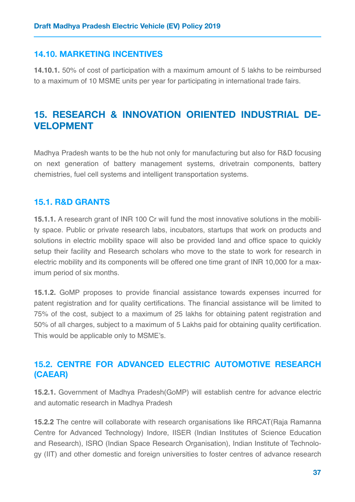### **14.10. MARKETING INCENTIVES**

**14.10.1.** 50% of cost of participation with a maximum amount of 5 lakhs to be reimbursed to a maximum of 10 MSME units per year for participating in international trade fairs.

# <span id="page-37-0"></span>**15. RESEARCH & INNOVATION ORIENTED INDUSTRIAL DE-VELOPMENT**

Madhya Pradesh wants to be the hub not only for manufacturing but also for R&D focusing on next generation of battery management systems, drivetrain components, battery chemistries, fuel cell systems and intelligent transportation systems.

### **15.1. R&D GRANTS**

**15.1.1.** A research grant of INR 100 Cr will fund the most innovative solutions in the mobility space. Public or private research labs, incubators, startups that work on products and solutions in electric mobility space will also be provided land and office space to quickly setup their facility and Research scholars who move to the state to work for research in electric mobility and its components will be offered one time grant of INR 10,000 for a maximum period of six months.

**15.1.2.** GoMP proposes to provide financial assistance towards expenses incurred for patent registration and for quality certifications. The financial assistance will be limited to 75% of the cost, subject to a maximum of 25 lakhs for obtaining patent registration and 50% of all charges, subject to a maximum of 5 Lakhs paid for obtaining quality certification. This would be applicable only to MSME's.

### **15.2. CENTRE FOR ADVANCED ELECTRIC AUTOMOTIVE RESEARCH (CAEAR)**

**15.2.1.** Government of Madhya Pradesh(GoMP) will establish centre for advance electric and automatic research in Madhya Pradesh

**15.2.2** The centre will collaborate with research organisations like RRCAT(Raja Ramanna Centre for Advanced Technology) Indore, IISER (Indian Institutes of Science Education and Research), ISRO (Indian Space Research Organisation), Indian Institute of Technology (IIT) and other domestic and foreign universities to foster centres of advance research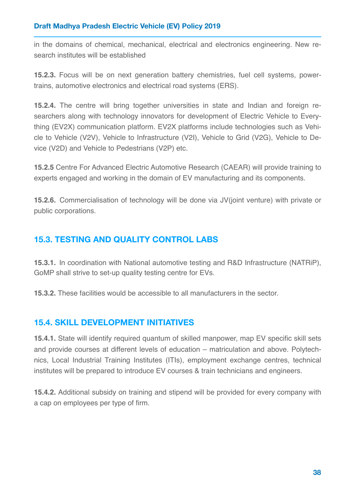in the domains of chemical, mechanical, electrical and electronics engineering. New research institutes will be established

**15.2.3.** Focus will be on next generation battery chemistries, fuel cell systems, powertrains, automotive electronics and electrical road systems (ERS).

**15.2.4.** The centre will bring together universities in state and Indian and foreign researchers along with technology innovators for development of Electric Vehicle to Everything (EV2X) communication platform. EV2X platforms include technologies such as Vehicle to Vehicle (V2V), Vehicle to Infrastructure (V2I), Vehicle to Grid (V2G), Vehicle to Device (V2D) and Vehicle to Pedestrians (V2P) etc.

**15.2.5** Centre For Advanced Electric Automotive Research (CAEAR) will provide training to experts engaged and working in the domain of EV manufacturing and its components.

**15.2.6.** Commercialisation of technology will be done via JV(joint venture) with private or public corporations.

### **15.3. TESTING AND QUALITY CONTROL LABS**

**15.3.1.** In coordination with National automotive testing and R&D Infrastructure (NATRiP), GoMP shall strive to set-up quality testing centre for EVs.

**15.3.2.** These facilities would be accessible to all manufacturers in the sector.

### **15.4. SKILL DEVELOPMENT INITIATIVES**

**15.4.1.** State will identify required quantum of skilled manpower, map EV specific skill sets and provide courses at different levels of education – matriculation and above. Polytechnics, Local Industrial Training Institutes (ITIs), employment exchange centres, technical institutes will be prepared to introduce EV courses & train technicians and engineers.

**15.4.2.** Additional subsidy on training and stipend will be provided for every company with a cap on employees per type of firm.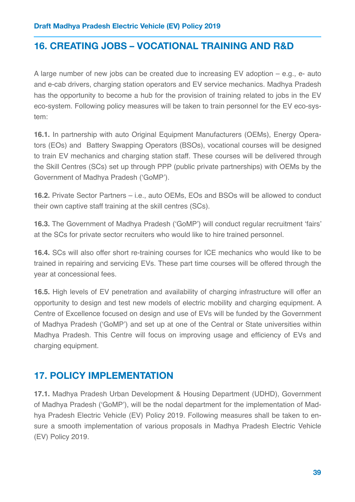# <span id="page-39-0"></span>**16. CREATING JOBS – VOCATIONAL TRAINING AND R&D**

A large number of new jobs can be created due to increasing EV adoption – e.g., e- auto and e-cab drivers, charging station operators and EV service mechanics. Madhya Pradesh has the opportunity to become a hub for the provision of training related to jobs in the EV eco-system. Following policy measures will be taken to train personnel for the EV eco-system:

**16.1.** In partnership with auto Original Equipment Manufacturers (OEMs), Energy Operators (EOs) and Battery Swapping Operators (BSOs), vocational courses will be designed to train EV mechanics and charging station staff. These courses will be delivered through the Skill Centres (SCs) set up through PPP (public private partnerships) with OEMs by the Government of Madhya Pradesh ('GoMP').

**16.2.** Private Sector Partners – i.e., auto OEMs, EOs and BSOs will be allowed to conduct their own captive staff training at the skill centres (SCs).

**16.3.** The Government of Madhya Pradesh ('GoMP') will conduct regular recruitment 'fairs' at the SCs for private sector recruiters who would like to hire trained personnel.

**16.4.** SCs will also offer short re-training courses for ICE mechanics who would like to be trained in repairing and servicing EVs. These part time courses will be offered through the year at concessional fees.

**16.5.** High levels of EV penetration and availability of charging infrastructure will offer an opportunity to design and test new models of electric mobility and charging equipment. A Centre of Excellence focused on design and use of EVs will be funded by the Government of Madhya Pradesh ('GoMP') and set up at one of the Central or State universities within Madhya Pradesh. This Centre will focus on improving usage and efficiency of EVs and charging equipment.

# <span id="page-39-1"></span>**17. POLICY IMPLEMENTATION**

**17.1.** Madhya Pradesh Urban Development & Housing Department (UDHD), Government of Madhya Pradesh ('GoMP'), will be the nodal department for the implementation of Madhya Pradesh Electric Vehicle (EV) Policy 2019. Following measures shall be taken to ensure a smooth implementation of various proposals in Madhya Pradesh Electric Vehicle (EV) Policy 2019.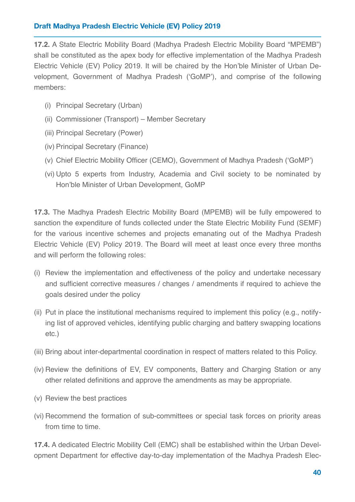**17.2.** A State Electric Mobility Board (Madhya Pradesh Electric Mobility Board "MPEMB") shall be constituted as the apex body for effective implementation of the Madhya Pradesh Electric Vehicle (EV) Policy 2019. It will be chaired by the Hon'ble Minister of Urban Development, Government of Madhya Pradesh ('GoMP'), and comprise of the following members:

- (i) Principal Secretary (Urban)
- (ii) Commissioner (Transport) Member Secretary
- (iii) Principal Secretary (Power)
- (iv) Principal Secretary (Finance)
- (v) Chief Electric Mobility Officer (CEMO), Government of Madhya Pradesh ('GoMP')
- (vi) Upto 5 experts from Industry, Academia and Civil society to be nominated by Hon'ble Minister of Urban Development, GoMP

**17.3.** The Madhya Pradesh Electric Mobility Board (MPEMB) will be fully empowered to sanction the expenditure of funds collected under the State Electric Mobility Fund (SEMF) for the various incentive schemes and projects emanating out of the Madhya Pradesh Electric Vehicle (EV) Policy 2019. The Board will meet at least once every three months and will perform the following roles:

- (i) Review the implementation and effectiveness of the policy and undertake necessary and sufficient corrective measures / changes / amendments if required to achieve the goals desired under the policy
- (ii) Put in place the institutional mechanisms required to implement this policy (e.g., notifying list of approved vehicles, identifying public charging and battery swapping locations etc.)
- (iii) Bring about inter-departmental coordination in respect of matters related to this Policy.
- (iv) Review the definitions of EV, EV components, Battery and Charging Station or any other related definitions and approve the amendments as may be appropriate.
- (v) Review the best practices
- (vi) Recommend the formation of sub-committees or special task forces on priority areas from time to time.

**17.4.** A dedicated Electric Mobility Cell (EMC) shall be established within the Urban Development Department for effective day-to-day implementation of the Madhya Pradesh Elec-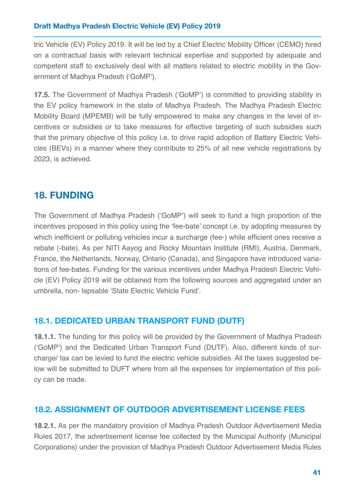tric Vehicle (EV) Policy 2019. It will be led by a Chief Electric Mobility Officer (CEMO) hired on a contractual basis with relevant technical expertise and supported by adequate and competent staff to exclusively deal with all matters related to electric mobility in the Government of Madhya Pradesh ('GoMP').

**17.5.** The Government of Madhya Pradesh ('GoMP') is committed to providing stability in the EV policy framework in the state of Madhya Pradesh. The Madhya Pradesh Electric Mobility Board (MPEMB) will be fully empowered to make any changes in the level of incentives or subsidies or to take measures for effective targeting of such subsidies such that the primary objective of this policy i.e. to drive rapid adoption of Battery Electric Vehicles (BEVs) in a manner where they contribute to 25% of all new vehicle registrations by 2023, is achieved.

# <span id="page-41-0"></span>**18. FUNDING**

The Government of Madhya Pradesh ('GoMP') will seek to fund a high proportion of the incentives proposed in this policy using the 'fee-bate' concept i.e. by adopting measures by which inefficient or polluting vehicles incur a surcharge (fee-) while efficient ones receive a rebate (-bate). As per NITI Aayog and Rocky Mountain Institute (RMI), Austria, Denmark, France, the Netherlands, Norway, Ontario (Canada), and Singapore have introduced variations of fee-bates. Funding for the various incentives under Madhya Pradesh Electric Vehicle (EV) Policy 2019 will be obtained from the following sources and aggregated under an umbrella, non- lapsable 'State Electric Vehicle Fund'.

### **18.1. DEDICATED URBAN TRANSPORT FUND (DUTF)**

**18.1.1.** The funding for this policy will be provided by the Government of Madhya Pradesh ('GoMP') and the Dedicated Urban Transport Fund (DUTF). Also, different kinds of surcharge/ tax can be levied to fund the electric vehicle subsidies. All the taxes suggested below will be submitted to DUFT where from all the expenses for implementation of this policy can be made.

### **18.2. ASSIGNMENT OF OUTDOOR ADVERTISEMENT LICENSE FEES**

**18.2.1.** As per the mandatory provision of Madhya Pradesh Outdoor Advertisement Media Rules 2017, the advertisement license fee collected by the Municipal Authority (Municipal Corporations) under the provision of Madhya Pradesh Outdoor Advertisement Media Rules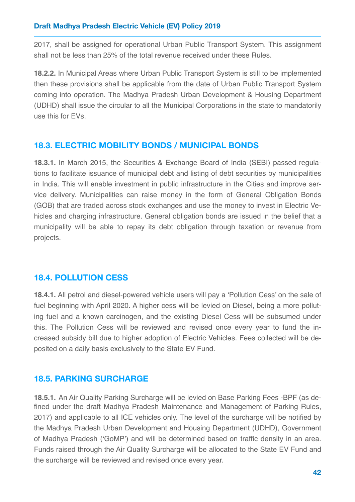2017, shall be assigned for operational Urban Public Transport System. This assignment shall not be less than 25% of the total revenue received under these Rules.

**18.2.2.** In Municipal Areas where Urban Public Transport System is still to be implemented then these provisions shall be applicable from the date of Urban Public Transport System coming into operation. The Madhya Pradesh Urban Development & Housing Department (UDHD) shall issue the circular to all the Municipal Corporations in the state to mandatorily use this for EVs.

### **18.3. ELECTRIC MOBILITY BONDS / MUNICIPAL BONDS**

**18.3.1.** In March 2015, the Securities & Exchange Board of India (SEBI) passed regulations to facilitate issuance of municipal debt and listing of debt securities by municipalities in India. This will enable investment in public infrastructure in the Cities and improve service delivery. Municipalities can raise money in the form of General Obligation Bonds (GOB) that are traded across stock exchanges and use the money to invest in Electric Vehicles and charging infrastructure. General obligation bonds are issued in the belief that a municipality will be able to repay its debt obligation through taxation or revenue from projects.

### **18.4. POLLUTION CESS**

**18.4.1.** All petrol and diesel-powered vehicle users will pay a 'Pollution Cess' on the sale of fuel beginning with April 2020. A higher cess will be levied on Diesel, being a more polluting fuel and a known carcinogen, and the existing Diesel Cess will be subsumed under this. The Pollution Cess will be reviewed and revised once every year to fund the increased subsidy bill due to higher adoption of Electric Vehicles. Fees collected will be deposited on a daily basis exclusively to the State EV Fund.

### **18.5. PARKING SURCHARGE**

**18.5.1.** An Air Quality Parking Surcharge will be levied on Base Parking Fees -BPF (as defined under the draft Madhya Pradesh Maintenance and Management of Parking Rules, 2017) and applicable to all ICE vehicles only. The level of the surcharge will be notified by the Madhya Pradesh Urban Development and Housing Department (UDHD), Government of Madhya Pradesh ('GoMP') and will be determined based on traffic density in an area. Funds raised through the Air Quality Surcharge will be allocated to the State EV Fund and the surcharge will be reviewed and revised once every year.